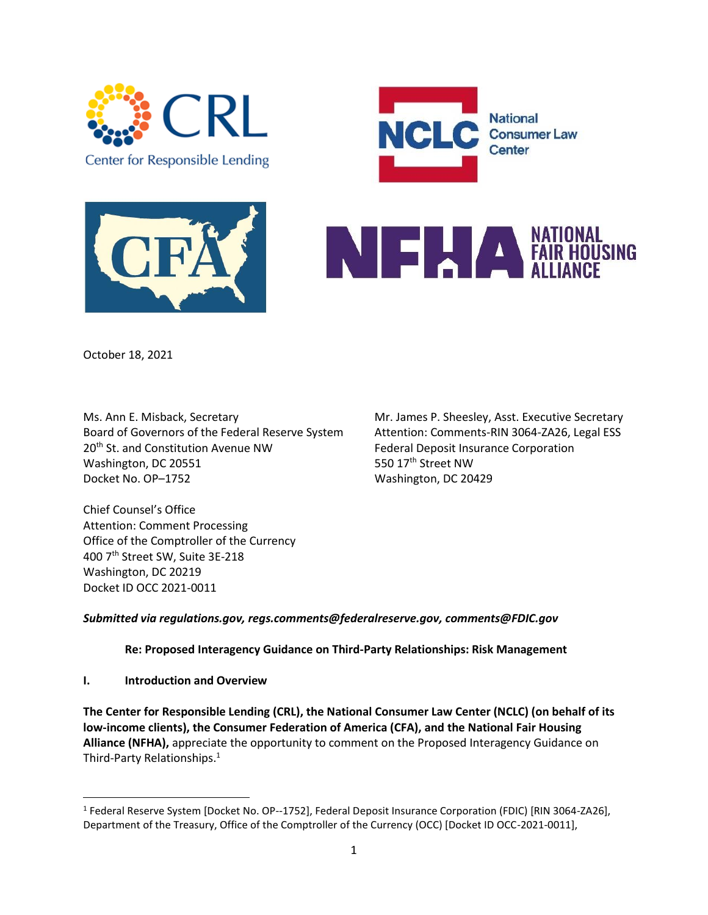







October 18, 2021

Ms. Ann E. Misback, Secretary Mr. James P. Sheesley, Asst. Executive Secretary Board of Governors of the Federal Reserve System Attention: Comments-RIN 3064-ZA26, Legal ESS 20<sup>th</sup> St. and Constitution Avenue NW Federal Deposit Insurance Corporation Washington, DC 20551 550 17th Street NW Docket No. OP-1752 Washington, DC 20429

Chief Counsel's Office Attention: Comment Processing Office of the Comptroller of the Currency 400 7th Street SW, Suite 3E-218 Washington, DC 20219 Docket ID OCC 2021-0011

*Submitted via regulations.gov, regs.comments@federalreserve.gov, comments@FDIC.gov*

**Re: Proposed Interagency Guidance on Third-Party Relationships: Risk Management** 

**I. Introduction and Overview**

**The Center for Responsible Lending (CRL), the National Consumer Law Center (NCLC) (on behalf of its low-income clients), the Consumer Federation of America (CFA), and the National Fair Housing Alliance (NFHA),** appreciate the opportunity to comment on the Proposed Interagency Guidance on Third-Party Relationships.<sup>1</sup>

<sup>&</sup>lt;sup>1</sup> Federal Reserve System [Docket No. OP--1752], Federal Deposit Insurance Corporation (FDIC) [RIN 3064-ZA26], Department of the Treasury, Office of the Comptroller of the Currency (OCC) [Docket ID OCC-2021-0011],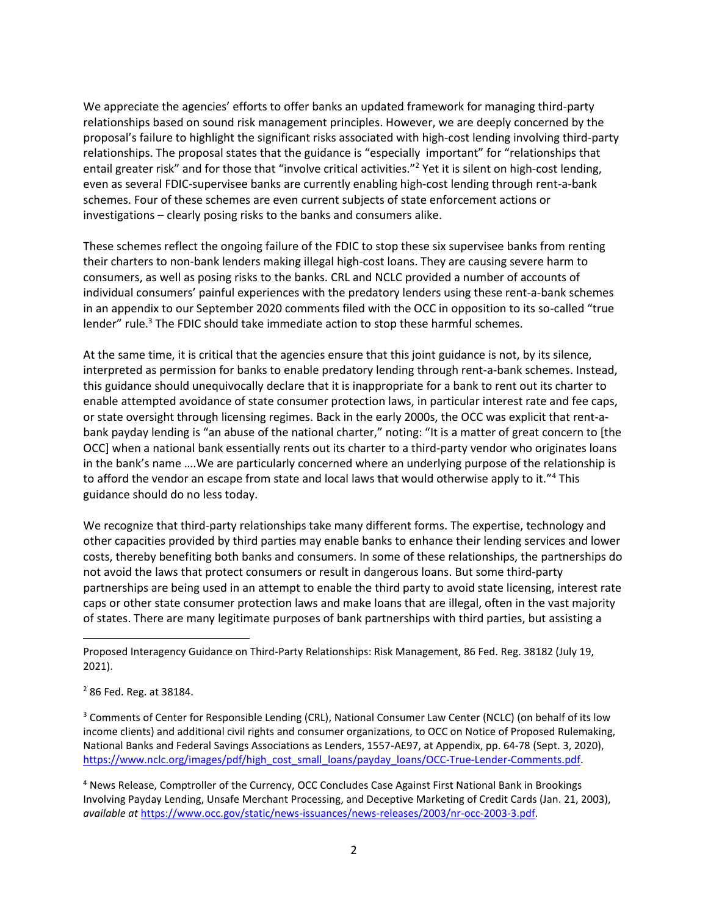We appreciate the agencies' efforts to offer banks an updated framework for managing third-party relationships based on sound risk management principles. However, we are deeply concerned by the proposal's failure to highlight the significant risks associated with high-cost lending involving third-party relationships. The proposal states that the guidance is "especially important" for "relationships that entail greater risk" and for those that "involve critical activities."<sup>2</sup> Yet it is silent on high-cost lending, even as several FDIC-supervisee banks are currently enabling high-cost lending through rent-a-bank schemes. Four of these schemes are even current subjects of state enforcement actions or investigations – clearly posing risks to the banks and consumers alike.

These schemes reflect the ongoing failure of the FDIC to stop these six supervisee banks from renting their charters to non-bank lenders making illegal high-cost loans. They are causing severe harm to consumers, as well as posing risks to the banks. CRL and NCLC provided a number of accounts of individual consumers' painful experiences with the predatory lenders using these rent-a-bank schemes in an appendix to our September 2020 comments filed with the OCC in opposition to its so-called "true lender" rule.<sup>3</sup> The FDIC should take immediate action to stop these harmful schemes.

At the same time, it is critical that the agencies ensure that this joint guidance is not, by its silence, interpreted as permission for banks to enable predatory lending through rent-a-bank schemes. Instead, this guidance should unequivocally declare that it is inappropriate for a bank to rent out its charter to enable attempted avoidance of state consumer protection laws, in particular interest rate and fee caps, or state oversight through licensing regimes. Back in the early 2000s, the OCC was explicit that rent-abank payday lending is "an abuse of the national charter," noting: "It is a matter of great concern to [the OCC] when a national bank essentially rents out its charter to a third-party vendor who originates loans in the bank's name ….We are particularly concerned where an underlying purpose of the relationship is to afford the vendor an escape from state and local laws that would otherwise apply to it."<sup>4</sup> This guidance should do no less today.

We recognize that third-party relationships take many different forms. The expertise, technology and other capacities provided by third parties may enable banks to enhance their lending services and lower costs, thereby benefiting both banks and consumers. In some of these relationships, the partnerships do not avoid the laws that protect consumers or result in dangerous loans. But some third-party partnerships are being used in an attempt to enable the third party to avoid state licensing, interest rate caps or other state consumer protection laws and make loans that are illegal, often in the vast majority of states. There are many legitimate purposes of bank partnerships with third parties, but assisting a

Proposed Interagency Guidance on Third-Party Relationships: Risk Management, 86 Fed. Reg. 38182 (July 19, 2021).

<sup>2</sup> 86 Fed. Reg. at 38184.

<sup>&</sup>lt;sup>3</sup> Comments of Center for Responsible Lending (CRL), National Consumer Law Center (NCLC) (on behalf of its low income clients) and additional civil rights and consumer organizations, to OCC on Notice of Proposed Rulemaking, National Banks and Federal Savings Associations as Lenders, 1557-AE97, at Appendix, pp. 64-78 (Sept. 3, 2020), [https://www.nclc.org/images/pdf/high\\_cost\\_small\\_loans/payday\\_loans/OCC-True-Lender-Comments.pdf.](https://www.nclc.org/images/pdf/high_cost_small_loans/payday_loans/OCC-True-Lender-Comments.pdf)

<sup>4</sup> News Release, Comptroller of the Currency, OCC Concludes Case Against First National Bank in Brookings Involving Payday Lending, Unsafe Merchant Processing, and Deceptive Marketing of Credit Cards (Jan. 21, 2003), *available at* [https://www.occ.gov/static/news-issuances/news-releases/2003/nr-occ-2003-3.pdf.](https://www.occ.gov/static/news-issuances/news-releases/2003/nr-occ-2003-3.pdf)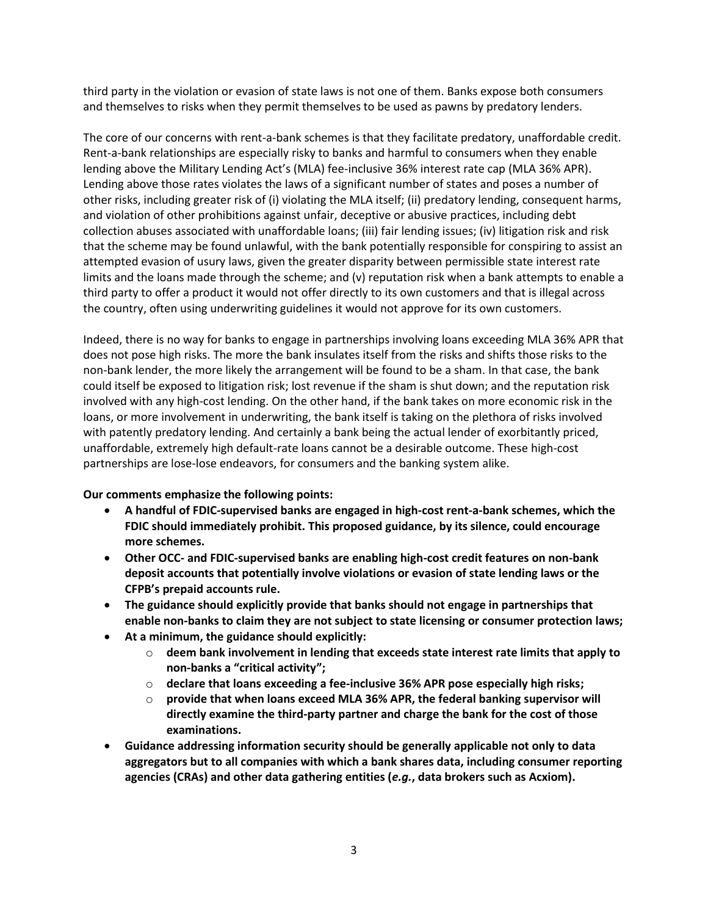third party in the violation or evasion of state laws is not one of them. Banks expose both consumers and themselves to risks when they permit themselves to be used as pawns by predatory lenders.

The core of our concerns with rent-a-bank schemes is that they facilitate predatory, unaffordable credit. Rent-a-bank relationships are especially risky to banks and harmful to consumers when they enable lending above the Military Lending Act's (MLA) fee-inclusive 36% interest rate cap (MLA 36% APR). Lending above those rates violates the laws of a significant number of states and poses a number of other risks, including greater risk of (i) violating the MLA itself; (ii) predatory lending, consequent harms, and violation of other prohibitions against unfair, deceptive or abusive practices, including debt collection abuses associated with unaffordable loans; (iii) fair lending issues; (iv) litigation risk and risk that the scheme may be found unlawful, with the bank potentially responsible for conspiring to assist an attempted evasion of usury laws, given the greater disparity between permissible state interest rate limits and the loans made through the scheme; and (v) reputation risk when a bank attempts to enable a third party to offer a product it would not offer directly to its own customers and that is illegal across the country, often using underwriting guidelines it would not approve for its own customers.

Indeed, there is no way for banks to engage in partnerships involving loans exceeding MLA 36% APR that does not pose high risks. The more the bank insulates itself from the risks and shifts those risks to the non-bank lender, the more likely the arrangement will be found to be a sham. In that case, the bank could itself be exposed to litigation risk; lost revenue if the sham is shut down; and the reputation risk involved with any high-cost lending. On the other hand, if the bank takes on more economic risk in the loans, or more involvement in underwriting, the bank itself is taking on the plethora of risks involved with patently predatory lending. And certainly a bank being the actual lender of exorbitantly priced, unaffordable, extremely high default-rate loans cannot be a desirable outcome. These high-cost partnerships are lose-lose endeavors, for consumers and the banking system alike.

#### **Our comments emphasize the following points:**

- **A handful of FDIC-supervised banks are engaged in high-cost rent-a-bank schemes, which the FDIC should immediately prohibit. This proposed guidance, by its silence, could encourage more schemes.**
- **Other OCC- and FDIC-supervised banks are enabling high-cost credit features on non-bank deposit accounts that potentially involve violations or evasion of state lending laws or the CFPB's prepaid accounts rule.**
- **The guidance should explicitly provide that banks should not engage in partnerships that enable non-banks to claim they are not subject to state licensing or consumer protection laws;**
- **At a minimum, the guidance should explicitly:**
	- o **deem bank involvement in lending that exceeds state interest rate limits that apply to non-banks a "critical activity";**
	- o **declare that loans exceeding a fee-inclusive 36% APR pose especially high risks;**
	- o **provide that when loans exceed MLA 36% APR, the federal banking supervisor will directly examine the third-party partner and charge the bank for the cost of those examinations.**
- **Guidance addressing information security should be generally applicable not only to data aggregators but to all companies with which a bank shares data, including consumer reporting agencies (CRAs) and other data gathering entities (***e.g.***, data brokers such as Acxiom).**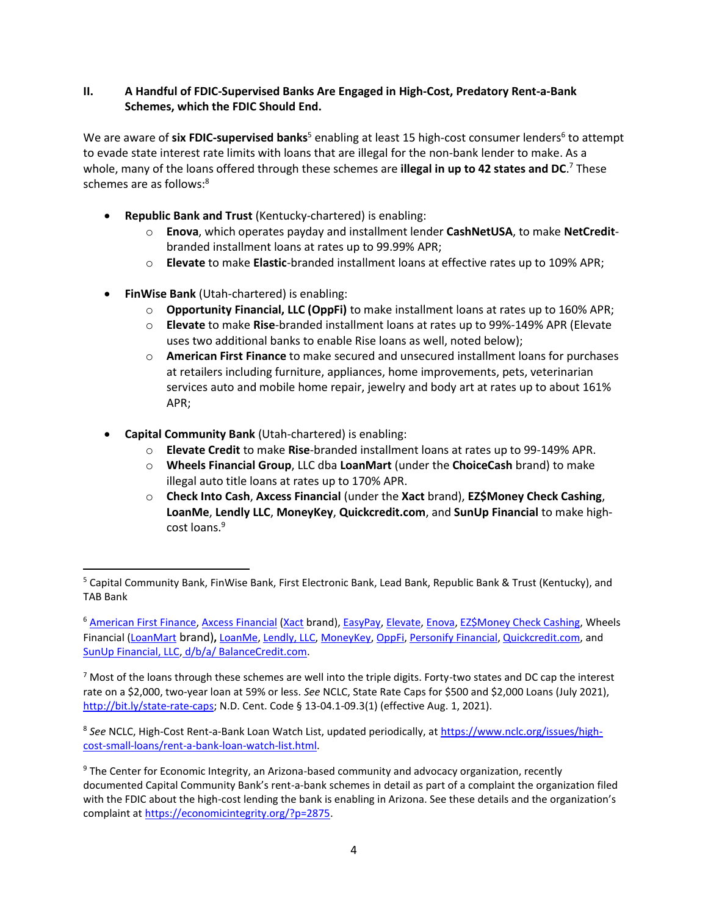#### **II. A Handful of FDIC-Supervised Banks Are Engaged in High-Cost, Predatory Rent-a-Bank Schemes, which the FDIC Should End.**

We are aware of six FDIC-supervised banks<sup>5</sup> enabling at least 15 high-cost consumer lenders<sup>6</sup> to attempt to evade state interest rate limits with loans that are illegal for the non-bank lender to make. As a whole, many of the loans offered through these schemes are **illegal in up to 42 states and DC**. <sup>7</sup> These schemes are as follows:<sup>8</sup>

- **Republic Bank and Trust** (Kentucky-chartered) is enabling:
	- o **Enova**, which operates payday and installment lender **CashNetUSA**, to make **NetCredit**branded installment loans at rates up to 99.99% APR;
	- o **Elevate** to make **Elastic**-branded installment loans at effective rates up to 109% APR;
- **FinWise Bank** (Utah-chartered) is enabling:
	- o **Opportunity Financial, LLC (OppFi)** to make installment loans at rates up to 160% APR;
	- o **Elevate** to make **Rise**-branded installment loans at rates up to 99%-149% APR (Elevate uses two additional banks to enable Rise loans as well, noted below);
	- o **American First Finance** to make secured and unsecured installment loans for purchases at retailers including furniture, appliances, home improvements, pets, veterinarian services auto and mobile home repair, jewelry and body art at rates up to about 161% APR;
- **Capital Community Bank** (Utah-chartered) is enabling:
	- o **Elevate Credit** to make **Rise**-branded installment loans at rates up to 99-149% APR.
	- o **Wheels Financial Group**, LLC dba **LoanMart** (under the **ChoiceCash** brand) to make illegal auto title loans at rates up to 170% APR.
	- o **Check Into Cash**, **Axcess Financial** (under the **Xact** brand), **EZ\$Money Check Cashing**, **LoanMe**, **Lendly LLC**, **MoneyKey**, **Quickcredit.com**, and **SunUp Financial** to make highcost loans.<sup>9</sup>

<sup>5</sup> Capital Community Bank, FinWise Bank, First Electronic Bank, Lead Bank, Republic Bank & Trust (Kentucky), and TAB Bank

<sup>&</sup>lt;sup>6</sup> [American First Finance,](https://www.nclc.org/issues/high-cost-small-loans/rent-a-bank-loan-watch-list.html#AFF) [Axcess Financial](https://www.axcess-financial.com/) [\(Xact](https://www.xact.com/) brand), [EasyPay,](https://www.nclc.org/issues/high-cost-small-loans/rent-a-bank-loan-watch-list.html#Easy) [Elevate,](https://www.nclc.org/issues/high-cost-small-loans/rent-a-bank-loan-watch-list.html#Rise) [Enova,](https://www.nclc.org/issues/high-cost-small-loans/rent-a-bank-loan-watch-list.html#Enova) [EZ\\$Money Check Cashing,](https://bellevue-ne.getezmoney.com/resources/faq/) Wheels Financial [\(LoanMart](https://www.nclc.org/issues/high-cost-small-loans/rent-a-bank-loan-watch-list.html#Mart) brand)**,** [LoanMe,](https://www.loanme.com/form/0) [Lendly, LLC,](https://getlendly.com/#howitworks) [MoneyKey,](https://www.moneykey.com/) [OppFi,](https://www.nclc.org/issues/high-cost-small-loans/rent-a-bank-loan-watch-list.html#Opp) [Personify Financial,](https://www.nclc.org/issues/high-cost-small-loans/rent-a-bank-loan-watch-list.html#Personify) [Quickcredit.com,](http://www.quickcredit.com/) and SunUp Financial, LLC, [d/b/a/ BalanceCredit.com.](https://www.balancecredit.com/)

 $7$  Most of the loans through these schemes are well into the triple digits. Forty-two states and DC cap the interest rate on a \$2,000, two-year loan at 59% or less. *See* NCLC, State Rate Caps for \$500 and \$2,000 Loans (July 2021), [http://bit.ly/state-rate-caps;](http://bit.ly/state-rate-caps) N.D. Cent. Code § 13-04.1-09.3(1) (effective Aug. 1, 2021).

<sup>&</sup>lt;sup>8</sup> See NCLC, High-Cost Rent-a-Bank Loan Watch List, updated periodically, at **https://www.nclc.org/issues/high**[cost-small-loans/rent-a-bank-loan-watch-list.html.](https://www.nclc.org/issues/high-cost-small-loans/rent-a-bank-loan-watch-list.html)

<sup>9</sup> The Center for Economic Integrity, an Arizona-based community and advocacy organization, recently documented Capital Community Bank's rent-a-bank schemes in detail as part of a complaint the organization filed with the FDIC about the high-cost lending the bank is enabling in Arizona. See these details and the organization's complaint a[t https://economicintegrity.org/?p=2875.](https://economicintegrity.org/?p=2875)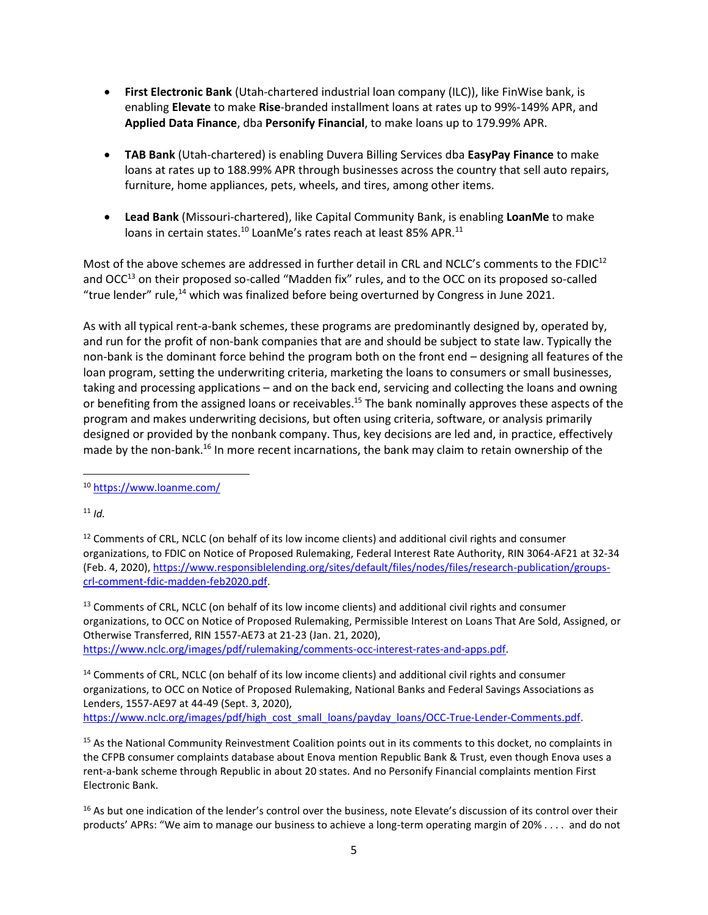- **First Electronic Bank** (Utah-chartered industrial loan company (ILC)), like FinWise bank, is enabling **Elevate** to make **Rise**-branded installment loans at rates up to 99%-149% APR, and **Applied Data Finance**, dba **Personify Financial**, to make loans up to 179.99% APR.
- **TAB Bank** (Utah-chartered) is enabling Duvera Billing Services dba **EasyPay Finance** to make loans at rates up to 188.99% APR through businesses across the country that sell auto repairs, furniture, home appliances, pets, wheels, and tires, among other items.
- **Lead Bank** (Missouri-chartered), like Capital Community Bank, is enabling **LoanMe** to make loans in certain states.<sup>10</sup> LoanMe's rates reach at least 85% APR.<sup>11</sup>

Most of the above schemes are addressed in further detail in CRL and NCLC's comments to the FDIC<sup>12</sup> and OCC<sup>13</sup> on their proposed so-called "Madden fix" rules, and to the OCC on its proposed so-called "true lender" rule, $14$  which was finalized before being overturned by Congress in June 2021.

As with all typical rent-a-bank schemes, these programs are predominantly designed by, operated by, and run for the profit of non-bank companies that are and should be subject to state law. Typically the non-bank is the dominant force behind the program both on the front end – designing all features of the loan program, setting the underwriting criteria, marketing the loans to consumers or small businesses, taking and processing applications – and on the back end, servicing and collecting the loans and owning or benefiting from the assigned loans or receivables.<sup>15</sup> The bank nominally approves these aspects of the program and makes underwriting decisions, but often using criteria, software, or analysis primarily designed or provided by the nonbank company. Thus, key decisions are led and, in practice, effectively made by the non-bank.<sup>16</sup> In more recent incarnations, the bank may claim to retain ownership of the

 $11$  *Id.* 

<sup>13</sup> Comments of CRL, NCLC (on behalf of its low income clients) and additional civil rights and consumer organizations, to OCC on Notice of Proposed Rulemaking, Permissible Interest on Loans That Are Sold, Assigned, or Otherwise Transferred, RIN 1557-AE73 at 21-23 (Jan. 21, 2020), [https://www.nclc.org/images/pdf/rulemaking/comments-occ-interest-rates-and-apps.pdf.](https://www.nclc.org/images/pdf/rulemaking/comments-occ-interest-rates-and-apps.pdf)

<sup>14</sup> Comments of CRL, NCLC (on behalf of its low income clients) and additional civil rights and consumer organizations, to OCC on Notice of Proposed Rulemaking, National Banks and Federal Savings Associations as Lenders, 1557-AE97 at 44-49 (Sept. 3, 2020), [https://www.nclc.org/images/pdf/high\\_cost\\_small\\_loans/payday\\_loans/OCC-True-Lender-Comments.pdf.](https://www.nclc.org/images/pdf/high_cost_small_loans/payday_loans/OCC-True-Lender-Comments.pdf)

<sup>15</sup> As the National Community Reinvestment Coalition points out in its comments to this docket, no complaints in the CFPB consumer complaints database about Enova mention Republic Bank & Trust, even though Enova uses a rent-a-bank scheme through Republic in about 20 states. And no Personify Financial complaints mention First Electronic Bank.

 $16$  As but one indication of the lender's control over the business, note Elevate's discussion of its control over their products' APRs: "We aim to manage our business to achieve a long-term operating margin of 20% . . . . and do not

<sup>10</sup> <https://www.loanme.com/>

 $12$  Comments of CRL, NCLC (on behalf of its low income clients) and additional civil rights and consumer organizations, to FDIC on Notice of Proposed Rulemaking, Federal Interest Rate Authority, RIN 3064-AF21 at 32-34 (Feb. 4, 2020)[, https://www.responsiblelending.org/sites/default/files/nodes/files/research-publication/groups](https://www.responsiblelending.org/sites/default/files/nodes/files/research-publication/groups-crl-comment-fdic-madden-feb2020.pdf)[crl-comment-fdic-madden-feb2020.pdf.](https://www.responsiblelending.org/sites/default/files/nodes/files/research-publication/groups-crl-comment-fdic-madden-feb2020.pdf)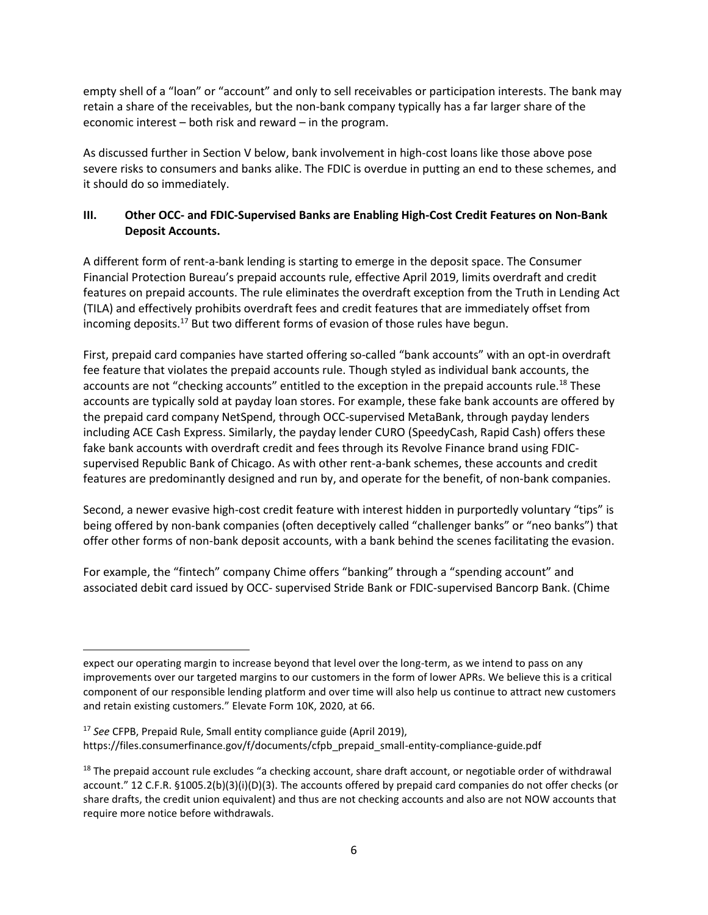empty shell of a "loan" or "account" and only to sell receivables or participation interests. The bank may retain a share of the receivables, but the non-bank company typically has a far larger share of the economic interest – both risk and reward – in the program.

As discussed further in Section V below, bank involvement in high-cost loans like those above pose severe risks to consumers and banks alike. The FDIC is overdue in putting an end to these schemes, and it should do so immediately.

## **III. Other OCC- and FDIC-Supervised Banks are Enabling High-Cost Credit Features on Non-Bank Deposit Accounts.**

A different form of rent-a-bank lending is starting to emerge in the deposit space. The Consumer Financial Protection Bureau's prepaid accounts rule, effective April 2019, limits overdraft and credit features on prepaid accounts. The rule eliminates the overdraft exception from the Truth in Lending Act (TILA) and effectively prohibits overdraft fees and credit features that are immediately offset from incoming deposits.<sup>17</sup> But two different forms of evasion of those rules have begun.

First, prepaid card companies have started offering so-called "bank accounts" with an opt-in overdraft fee feature that violates the prepaid accounts rule. Though styled as individual bank accounts, the accounts are not "checking accounts" entitled to the exception in the prepaid accounts rule.<sup>18</sup> These accounts are typically sold at payday loan stores. For example, these fake bank accounts are offered by the prepaid card company NetSpend, through OCC-supervised MetaBank, through payday lenders including ACE Cash Express. Similarly, the payday lender CURO (SpeedyCash, Rapid Cash) offers these fake bank accounts with overdraft credit and fees through its Revolve Finance brand using FDICsupervised Republic Bank of Chicago. As with other rent-a-bank schemes, these accounts and credit features are predominantly designed and run by, and operate for the benefit, of non-bank companies.

Second, a newer evasive high-cost credit feature with interest hidden in purportedly voluntary "tips" is being offered by non-bank companies (often deceptively called "challenger banks" or "neo banks") that offer other forms of non-bank deposit accounts, with a bank behind the scenes facilitating the evasion.

For example, the "fintech" company Chime offers "banking" through a "spending account" and associated debit card issued by OCC- supervised Stride Bank or FDIC-supervised Bancorp Bank. (Chime

<sup>17</sup> *See* CFPB, Prepaid Rule, Small entity compliance guide (April 2019), https://files.consumerfinance.gov/f/documents/cfpb\_prepaid\_small-entity-compliance-guide.pdf

expect our operating margin to increase beyond that level over the long-term, as we intend to pass on any improvements over our targeted margins to our customers in the form of lower APRs. We believe this is a critical component of our responsible lending platform and over time will also help us continue to attract new customers and retain existing customers." Elevate Form 10K, 2020, at 66.

 $18$  The prepaid account rule excludes "a checking account, share draft account, or negotiable order of withdrawal account." 12 C.F.R. §1005.2(b)(3)(i)(D)(3). The accounts offered by prepaid card companies do not offer checks (or share drafts, the credit union equivalent) and thus are not checking accounts and also are not NOW accounts that require more notice before withdrawals.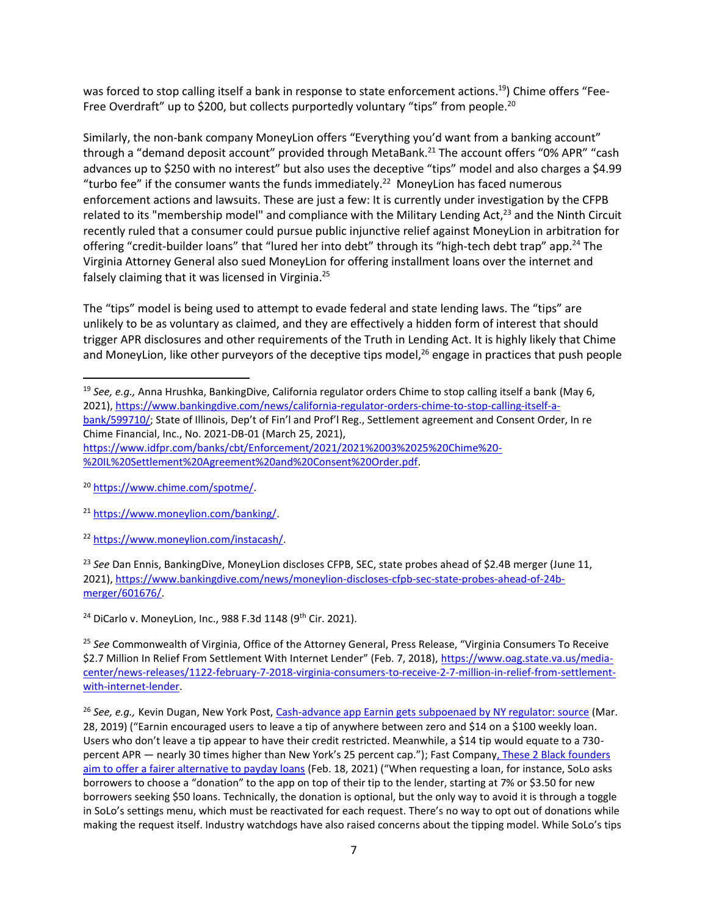was forced to stop calling itself a bank in response to state enforcement actions.<sup>19</sup>) Chime offers "Fee-Free Overdraft" up to \$200, but collects purportedly voluntary "tips" from people. $^{20}$ 

Similarly, the non-bank company MoneyLion offers "Everything you'd want from a banking account" through a "demand deposit account" provided through MetaBank.<sup>21</sup> The account offers "0% APR" "cash advances up to \$250 with no interest" but also uses the deceptive "tips" model and also charges a \$4.99 "turbo fee" if the consumer wants the funds immediately.<sup>22</sup> MoneyLion has faced numerous enforcement actions and lawsuits. These are just a few: It is currently under investigation by the CFPB related to its "membership model" and compliance with the Military Lending Act,<sup>23</sup> and the Ninth Circuit recently ruled that a consumer could pursue public injunctive relief against MoneyLion in arbitration for offering "credit-builder loans" that "lured her into debt" through its "high-tech debt trap" app.<sup>24</sup> The Virginia Attorney General also sued MoneyLion for offering installment loans over the internet and falsely claiming that it was licensed in Virginia.<sup>25</sup>

The "tips" model is being used to attempt to evade federal and state lending laws. The "tips" are unlikely to be as voluntary as claimed, and they are effectively a hidden form of interest that should trigger APR disclosures and other requirements of the Truth in Lending Act. It is highly likely that Chime and MoneyLion, like other purveyors of the deceptive tips model,<sup>26</sup> engage in practices that push people

[%20IL%20Settlement%20Agreement%20and%20Consent%20Order.pdf.](https://www.idfpr.com/banks/cbt/Enforcement/2021/2021%2003%2025%20Chime%20-%20IL%20Settlement%20Agreement%20and%20Consent%20Order.pdf)

<sup>23</sup> *See* Dan Ennis, BankingDive, MoneyLion discloses CFPB, SEC, state probes ahead of \$2.4B merger (June 11, 2021), [https://www.bankingdive.com/news/moneylion-discloses-cfpb-sec-state-probes-ahead-of-24b](https://www.bankingdive.com/news/moneylion-discloses-cfpb-sec-state-probes-ahead-of-24b-merger/601676/)[merger/601676/.](https://www.bankingdive.com/news/moneylion-discloses-cfpb-sec-state-probes-ahead-of-24b-merger/601676/)

<sup>24</sup> DiCarlo v. MoneyLion, Inc., 988 F.3d 1148 (9<sup>th</sup> Cir. 2021).

<sup>25</sup> *See* Commonwealth of Virginia, Office of the Attorney General, Press Release, "Virginia Consumers To Receive \$2.7 Million In Relief From Settlement With Internet Lender" (Feb. 7, 2018), [https://www.oag.state.va.us/media](https://www.oag.state.va.us/media-center/news-releases/1122-february-7-2018-virginia-consumers-to-receive-2-7-million-in-relief-from-settlement-with-internet-lender)[center/news-releases/1122-february-7-2018-virginia-consumers-to-receive-2-7-million-in-relief-from-settlement](https://www.oag.state.va.us/media-center/news-releases/1122-february-7-2018-virginia-consumers-to-receive-2-7-million-in-relief-from-settlement-with-internet-lender)[with-internet-lender.](https://www.oag.state.va.us/media-center/news-releases/1122-february-7-2018-virginia-consumers-to-receive-2-7-million-in-relief-from-settlement-with-internet-lender) 

<sup>26</sup> See, e.g., Kevin Dugan, New York Post, [Cash-advance app Earnin gets subpoenaed by NY regulator: source](https://nypost.com/2019/03/28/cash-advance-app-earnin-gets-subpoenaed-by-ny-regulator-source/) (Mar. 28, 2019) ("Earnin encouraged users to leave a tip of anywhere between zero and \$14 on a \$100 weekly loan. Users who don't leave a tip appear to have their credit restricted. Meanwhile, a \$14 tip would equate to a 730 percent APR — nearly 30 times higher than New York's 25 percent cap."); Fast Compan[y, These 2 Black founders](https://www.fastcompany.com/90605796/payday-loan-alternative-solo-funds)  [aim to offer a fairer alternative to payday loans](https://www.fastcompany.com/90605796/payday-loan-alternative-solo-funds) (Feb. 18, 2021) ("When requesting a loan, for instance, SoLo asks borrowers to choose a "donation" to the app on top of their tip to the lender, starting at 7% or \$3.50 for new borrowers seeking \$50 loans. Technically, the donation is optional, but the only way to avoid it is through a toggle in SoLo's settings menu, which must be reactivated for each request. There's no way to opt out of donations while making the request itself. Industry watchdogs have also raised concerns about the tipping model. While SoLo's tips

<sup>19</sup> *See, e.g.,* Anna Hrushka, BankingDive, California regulator orders Chime to stop calling itself a bank (May 6, 2021), [https://www.bankingdive.com/news/california-regulator-orders-chime-to-stop-calling-itself-a](https://www.bankingdive.com/news/california-regulator-orders-chime-to-stop-calling-itself-a-bank/599710/)[bank/599710/;](https://www.bankingdive.com/news/california-regulator-orders-chime-to-stop-calling-itself-a-bank/599710/) State of Illinois, Dep't of Fin'l and Prof'l Reg., Settlement agreement and Consent Order, In re Chime Financial, Inc., No. 2021-DB-01 (March 25, 2021), [https://www.idfpr.com/banks/cbt/Enforcement/2021/2021%2003%2025%20Chime%20-](https://www.idfpr.com/banks/cbt/Enforcement/2021/2021%2003%2025%20Chime%20-%20IL%20Settlement%20Agreement%20and%20Consent%20Order.pdf)

<sup>20</sup> [https://www.chime.com/spotme/.](https://www.chime.com/spotme/) 

<sup>21</sup> [https://www.moneylion.com/banking/.](https://www.moneylion.com/banking/) 

<sup>22</sup> [https://www.moneylion.com/instacash/.](https://www.moneylion.com/instacash/)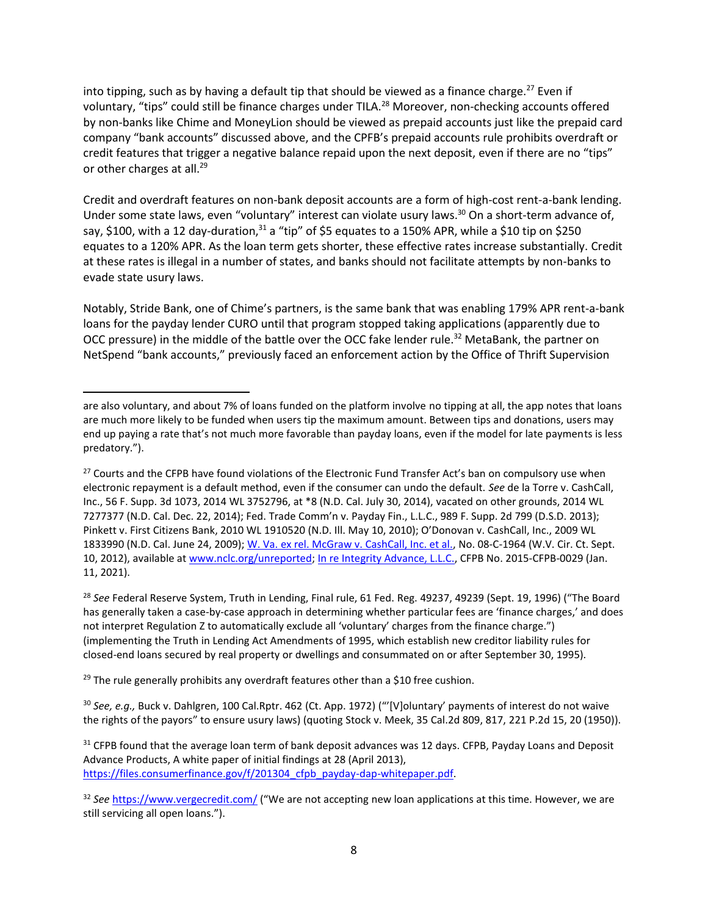into tipping, such as by having a default tip that should be viewed as a finance charge.<sup>27</sup> Even if voluntary, "tips" could still be finance charges under TILA.<sup>28</sup> Moreover, non-checking accounts offered by non-banks like Chime and MoneyLion should be viewed as prepaid accounts just like the prepaid card company "bank accounts" discussed above, and the CPFB's prepaid accounts rule prohibits overdraft or credit features that trigger a negative balance repaid upon the next deposit, even if there are no "tips" or other charges at all.<sup>29</sup>

Credit and overdraft features on non-bank deposit accounts are a form of high-cost rent-a-bank lending. Under some state laws, even "voluntary" interest can violate usury laws.<sup>30</sup> On a short-term advance of, say, \$100, with a 12 day-duration, $31$  a "tip" of \$5 equates to a 150% APR, while a \$10 tip on \$250 equates to a 120% APR. As the loan term gets shorter, these effective rates increase substantially. Credit at these rates is illegal in a number of states, and banks should not facilitate attempts by non-banks to evade state usury laws.

Notably, Stride Bank, one of Chime's partners, is the same bank that was enabling 179% APR rent-a-bank loans for the payday lender CURO until that program stopped taking applications (apparently due to OCC pressure) in the middle of the battle over the OCC fake lender rule.<sup>32</sup> MetaBank, the partner on NetSpend "bank accounts," previously faced an enforcement action by the Office of Thrift Supervision

 $29$  The rule generally prohibits any overdraft features other than a \$10 free cushion.

<sup>30</sup> *See, e.g.,* Buck v. Dahlgren, 100 Cal.Rptr. 462 (Ct. App. 1972) ("'[V]oluntary' payments of interest do not waive the rights of the payors" to ensure usury laws) (quoting Stock v. Meek, 35 Cal.2d 809, 817, 221 P.2d 15, 20 (1950)).

<sup>31</sup> CFPB found that the average loan term of bank deposit advances was 12 days. CFPB, Payday Loans and Deposit Advance Products, A white paper of initial findings at 28 (April 2013), [https://files.consumerfinance.gov/f/201304\\_cfpb\\_payday-dap-whitepaper.pdf.](https://files.consumerfinance.gov/f/201304_cfpb_payday-dap-whitepaper.pdf)

32 See <https://www.vergecredit.com/> ("We are not accepting new loan applications at this time. However, we are still servicing all open loans.").

are also voluntary, and about 7% of loans funded on the platform involve no tipping at all, the app notes that loans are much more likely to be funded when users tip the maximum amount. Between tips and donations, users may end up paying a rate that's not much more favorable than payday loans, even if the model for late payments is less predatory.").

<sup>&</sup>lt;sup>27</sup> Courts and the CFPB have found violations of the Electronic Fund Transfer Act's ban on compulsory use when electronic repayment is a default method, even if the consumer can undo the default. *See* de la Torre v. CashCall, Inc., 56 F. Supp. 3d 1073, 2014 WL 3752796, at \*8 (N.D. Cal. July 30, 2014), vacated on other grounds, 2014 WL 7277377 (N.D. Cal. Dec. 22, 2014); Fed. Trade Comm'n v. Payday Fin., L.L.C., 989 F. Supp. 2d 799 (D.S.D. 2013); Pinkett v. First Citizens Bank, 2010 WL 1910520 (N.D. Ill. May 10, 2010); O'Donovan v. CashCall, Inc., 2009 WL 1833990 (N.D. Cal. June 24, 2009); [W. Va. ex rel. McGraw v. CashCall, Inc. et al.,](http://www.nclc.org/images/pdf/unreported/cashcall_phase_I_debt_collection_decision.pdf) No. 08-C-1964 (W.V. Cir. Ct. Sept. 10, 2012), available at [www.nclc.org/unreported;](http://www.nclc.org/unreported) [In re](https://files.consumerfinance.gov/f/documents/cfpb_2015-cfpb-0029_document-308_2021-01.pdf) [Integrity Advance, L.L.C.,](https://files.consumerfinance.gov/f/documents/cfpb_2015-cfpb-0029_document-308_2021-01.pdf) CFPB No. 2015-CFPB-0029 (Jan. 11, 2021).

<sup>28</sup> *See* Federal Reserve System, Truth in Lending, Final rule, 61 Fed. Reg. 49237, 49239 (Sept. 19, 1996) ("The Board has generally taken a case-by-case approach in determining whether particular fees are 'finance charges,' and does not interpret Regulation Z to automatically exclude all 'voluntary' charges from the finance charge.") (implementing the Truth in Lending Act Amendments of 1995, which establish new creditor liability rules for closed-end loans secured by real property or dwellings and consummated on or after September 30, 1995).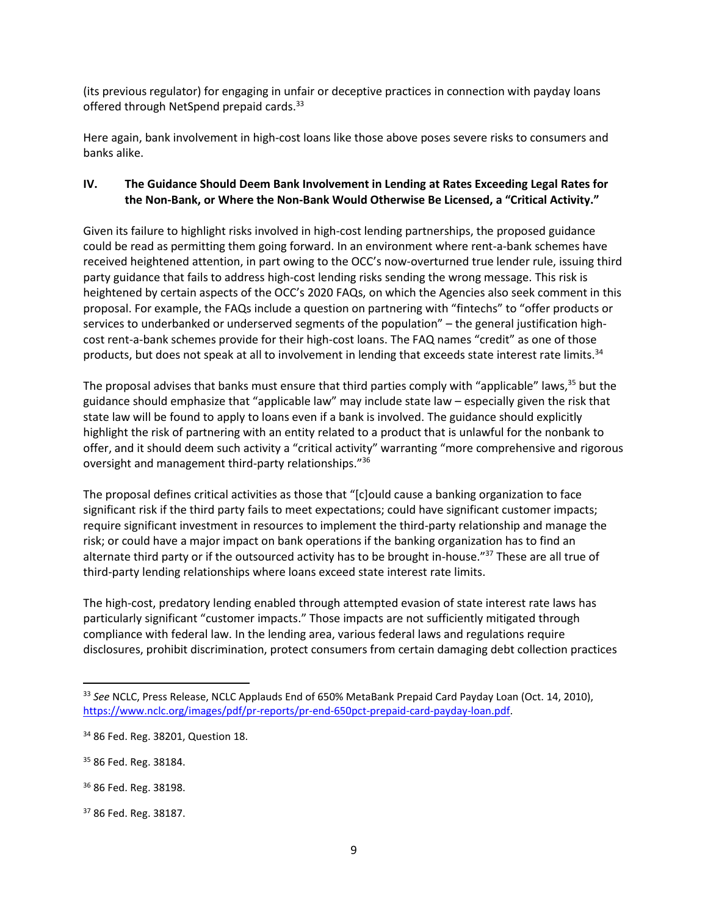(its previous regulator) for engaging in unfair or deceptive practices in connection with payday loans offered through NetSpend prepaid cards.<sup>33</sup>

Here again, bank involvement in high-cost loans like those above poses severe risks to consumers and banks alike.

#### **IV. The Guidance Should Deem Bank Involvement in Lending at Rates Exceeding Legal Rates for the Non-Bank, or Where the Non-Bank Would Otherwise Be Licensed, a "Critical Activity."**

Given its failure to highlight risks involved in high-cost lending partnerships, the proposed guidance could be read as permitting them going forward. In an environment where rent-a-bank schemes have received heightened attention, in part owing to the OCC's now-overturned true lender rule, issuing third party guidance that fails to address high-cost lending risks sending the wrong message. This risk is heightened by certain aspects of the OCC's 2020 FAQs, on which the Agencies also seek comment in this proposal. For example, the FAQs include a question on partnering with "fintechs" to "offer products or services to underbanked or underserved segments of the population" – the general justification highcost rent-a-bank schemes provide for their high-cost loans. The FAQ names "credit" as one of those products, but does not speak at all to involvement in lending that exceeds state interest rate limits.<sup>34</sup>

The proposal advises that banks must ensure that third parties comply with "applicable" laws,<sup>35</sup> but the guidance should emphasize that "applicable law" may include state law – especially given the risk that state law will be found to apply to loans even if a bank is involved. The guidance should explicitly highlight the risk of partnering with an entity related to a product that is unlawful for the nonbank to offer, and it should deem such activity a "critical activity" warranting "more comprehensive and rigorous oversight and management third-party relationships."<sup>36</sup>

The proposal defines critical activities as those that "[c]ould cause a banking organization to face significant risk if the third party fails to meet expectations; could have significant customer impacts; require significant investment in resources to implement the third-party relationship and manage the risk; or could have a major impact on bank operations if the banking organization has to find an alternate third party or if the outsourced activity has to be brought in-house."<sup>37</sup> These are all true of third-party lending relationships where loans exceed state interest rate limits.

The high-cost, predatory lending enabled through attempted evasion of state interest rate laws has particularly significant "customer impacts." Those impacts are not sufficiently mitigated through compliance with federal law. In the lending area, various federal laws and regulations require disclosures, prohibit discrimination, protect consumers from certain damaging debt collection practices

<sup>33</sup> *See* NCLC, Press Release, NCLC Applauds End of 650% MetaBank Prepaid Card Payday Loan (Oct. 14, 2010), [https://www.nclc.org/images/pdf/pr-reports/pr-end-650pct-prepaid-card-payday-loan.pdf.](https://www.nclc.org/images/pdf/pr-reports/pr-end-650pct-prepaid-card-payday-loan.pdf)

<sup>34</sup> 86 Fed. Reg. 38201, Question 18.

<sup>&</sup>lt;sup>35</sup> 86 Fed. Reg. 38184.

<sup>36</sup> 86 Fed. Reg. 38198.

<sup>37</sup> 86 Fed. Reg. 38187.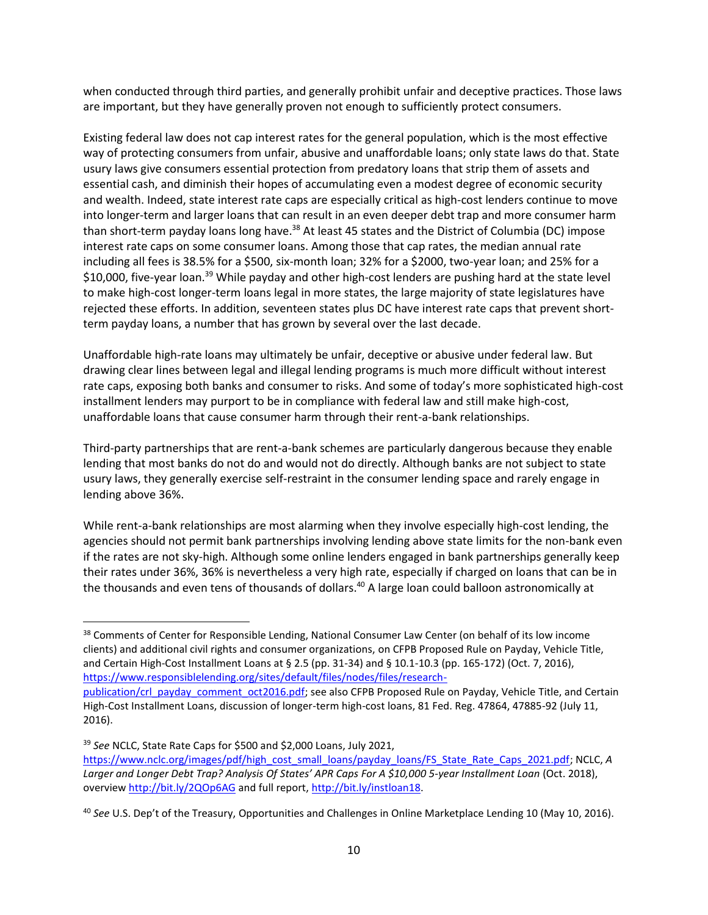when conducted through third parties, and generally prohibit unfair and deceptive practices. Those laws are important, but they have generally proven not enough to sufficiently protect consumers.

Existing federal law does not cap interest rates for the general population, which is the most effective way of protecting consumers from unfair, abusive and unaffordable loans; only state laws do that. State usury laws give consumers essential protection from predatory loans that strip them of assets and essential cash, and diminish their hopes of accumulating even a modest degree of economic security and wealth. Indeed, state interest rate caps are especially critical as high-cost lenders continue to move into longer-term and larger loans that can result in an even deeper debt trap and more consumer harm than short-term payday loans long have.<sup>38</sup> At least 45 states and the District of Columbia (DC) impose interest rate caps on some consumer loans. Among those that cap rates, the median annual rate including all fees is 38.5% for a \$500, six-month loan; 32% for a \$2000, two-year loan; and 25% for a \$10,000, five-year loan.<sup>39</sup> While payday and other high-cost lenders are pushing hard at the state level to make high-cost longer-term loans legal in more states, the large majority of state legislatures have rejected these efforts. In addition, seventeen states plus DC have interest rate caps that prevent shortterm payday loans, a number that has grown by several over the last decade.

Unaffordable high-rate loans may ultimately be unfair, deceptive or abusive under federal law. But drawing clear lines between legal and illegal lending programs is much more difficult without interest rate caps, exposing both banks and consumer to risks. And some of today's more sophisticated high-cost installment lenders may purport to be in compliance with federal law and still make high-cost, unaffordable loans that cause consumer harm through their rent-a-bank relationships.

Third-party partnerships that are rent-a-bank schemes are particularly dangerous because they enable lending that most banks do not do and would not do directly. Although banks are not subject to state usury laws, they generally exercise self-restraint in the consumer lending space and rarely engage in lending above 36%.

While rent-a-bank relationships are most alarming when they involve especially high-cost lending, the agencies should not permit bank partnerships involving lending above state limits for the non-bank even if the rates are not sky-high. Although some online lenders engaged in bank partnerships generally keep their rates under 36%, 36% is nevertheless a very high rate, especially if charged on loans that can be in the thousands and even tens of thousands of dollars. <sup>40</sup> A large loan could balloon astronomically at

<sup>38</sup> Comments of Center for Responsible Lending, National Consumer Law Center (on behalf of its low income clients) and additional civil rights and consumer organizations, on CFPB Proposed Rule on Payday, Vehicle Title, and Certain High-Cost Installment Loans at § 2.5 (pp. 31-34) and § 10.1-10.3 (pp. 165-172) (Oct. 7, 2016), [https://www.responsiblelending.org/sites/default/files/nodes/files/research-](https://www.responsiblelending.org/sites/default/files/nodes/files/research-publication/crl_payday_comment_oct2016.pdf)

[publication/crl\\_payday\\_comment\\_oct2016.pdf;](https://www.responsiblelending.org/sites/default/files/nodes/files/research-publication/crl_payday_comment_oct2016.pdf) see also CFPB Proposed Rule on Payday, Vehicle Title, and Certain High-Cost Installment Loans, discussion of longer-term high-cost loans, 81 Fed. Reg. 47864, 47885-92 (July 11, 2016).

<sup>39</sup> *See* NCLC, State Rate Caps for \$500 and \$2,000 Loans, July 2021, [https://www.nclc.org/images/pdf/high\\_cost\\_small\\_loans/payday\\_loans/FS\\_State\\_Rate\\_Caps\\_2021.pdf;](https://www.nclc.org/images/pdf/high_cost_small_loans/payday_loans/FS_State_Rate_Caps_2021.pdf) NCLC, *A Larger and Longer Debt Trap? Analysis Of States' APR Caps For A \$10,000 5-year Installment Loan* (Oct. 2018), overvie[w http://bit.ly/2QOp6AG](http://bit.ly/2QOp6AG) and full report[, http://bit.ly/instloan18.](http://bit.ly/instloan18)

<sup>40</sup> *See* U.S. Dep't of the Treasury, Opportunities and Challenges in Online Marketplace Lending 10 (May 10, 2016).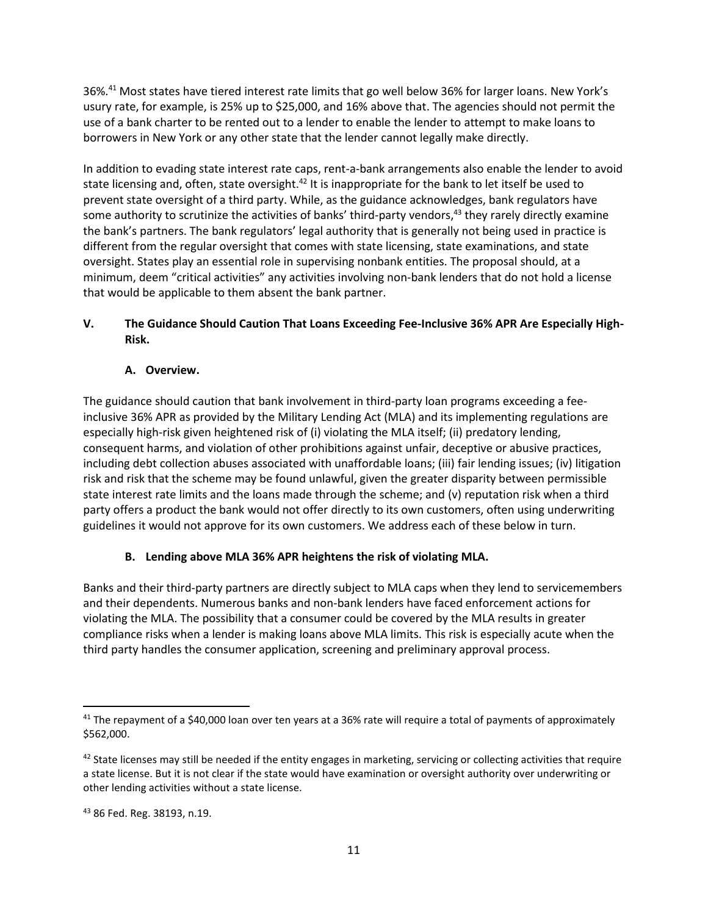36%.<sup>41</sup> Most states have tiered interest rate limits that go well below 36% for larger loans. New York's usury rate, for example, is 25% up to \$25,000, and 16% above that. The agencies should not permit the use of a bank charter to be rented out to a lender to enable the lender to attempt to make loans to borrowers in New York or any other state that the lender cannot legally make directly.

In addition to evading state interest rate caps, rent-a-bank arrangements also enable the lender to avoid state licensing and, often, state oversight.<sup>42</sup> It is inappropriate for the bank to let itself be used to prevent state oversight of a third party. While, as the guidance acknowledges, bank regulators have some authority to scrutinize the activities of banks' third-party vendors,<sup>43</sup> they rarely directly examine the bank's partners. The bank regulators' legal authority that is generally not being used in practice is different from the regular oversight that comes with state licensing, state examinations, and state oversight. States play an essential role in supervising nonbank entities. The proposal should, at a minimum, deem "critical activities" any activities involving non-bank lenders that do not hold a license that would be applicable to them absent the bank partner.

## **V. The Guidance Should Caution That Loans Exceeding Fee-Inclusive 36% APR Are Especially High-Risk.**

## **A. Overview.**

The guidance should caution that bank involvement in third-party loan programs exceeding a feeinclusive 36% APR as provided by the Military Lending Act (MLA) and its implementing regulations are especially high-risk given heightened risk of (i) violating the MLA itself; (ii) predatory lending, consequent harms, and violation of other prohibitions against unfair, deceptive or abusive practices, including debt collection abuses associated with unaffordable loans; (iii) fair lending issues; (iv) litigation risk and risk that the scheme may be found unlawful, given the greater disparity between permissible state interest rate limits and the loans made through the scheme; and (v) reputation risk when a third party offers a product the bank would not offer directly to its own customers, often using underwriting guidelines it would not approve for its own customers. We address each of these below in turn.

# **B. Lending above MLA 36% APR heightens the risk of violating MLA.**

Banks and their third-party partners are directly subject to MLA caps when they lend to servicemembers and their dependents. Numerous banks and non-bank lenders have faced enforcement actions for violating the MLA. The possibility that a consumer could be covered by the MLA results in greater compliance risks when a lender is making loans above MLA limits. This risk is especially acute when the third party handles the consumer application, screening and preliminary approval process.

<sup>&</sup>lt;sup>41</sup> The repayment of a \$40,000 loan over ten years at a 36% rate will require a total of payments of approximately \$562,000.

 $42$  State licenses may still be needed if the entity engages in marketing, servicing or collecting activities that require a state license. But it is not clear if the state would have examination or oversight authority over underwriting or other lending activities without a state license.

<sup>43</sup> 86 Fed. Reg. 38193, n.19.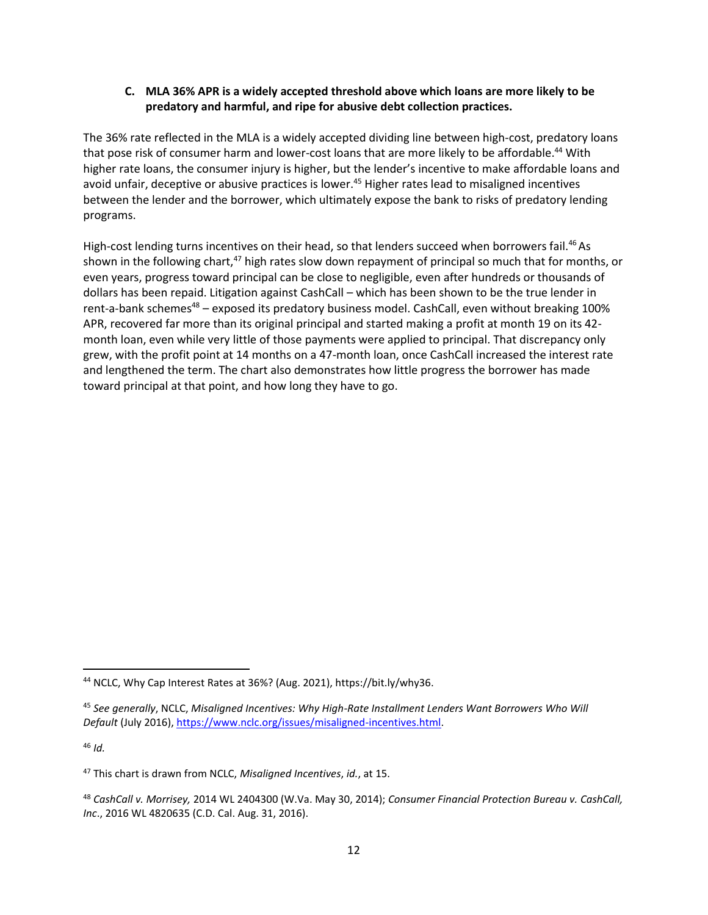### **C. MLA 36% APR is a widely accepted threshold above which loans are more likely to be predatory and harmful, and ripe for abusive debt collection practices.**

The 36% rate reflected in the MLA is a widely accepted dividing line between high-cost, predatory loans that pose risk of consumer harm and lower-cost loans that are more likely to be affordable.<sup>44</sup> With higher rate loans, the consumer injury is higher, but the lender's incentive to make affordable loans and avoid unfair, deceptive or abusive practices is lower.<sup>45</sup> Higher rates lead to misaligned incentives between the lender and the borrower, which ultimately expose the bank to risks of predatory lending programs.

High-cost lending turns incentives on their head, so that lenders succeed when borrowers fail.<sup>46</sup> As shown in the following chart, $47$  high rates slow down repayment of principal so much that for months, or even years, progress toward principal can be close to negligible, even after hundreds or thousands of dollars has been repaid. Litigation against CashCall – which has been shown to be the true lender in rent-a-bank schemes $48 -$ exposed its predatory business model. CashCall, even without breaking 100% APR, recovered far more than its original principal and started making a profit at month 19 on its 42 month loan, even while very little of those payments were applied to principal. That discrepancy only grew, with the profit point at 14 months on a 47-month loan, once CashCall increased the interest rate and lengthened the term. The chart also demonstrates how little progress the borrower has made toward principal at that point, and how long they have to go.

 $46$  *Id.* 

<sup>44</sup> NCLC, Why Cap Interest Rates at 36%? (Aug. 2021), https://bit.ly/why36.

<sup>45</sup> *See generally*, NCLC, *Misaligned Incentives: Why High-Rate Installment Lenders Want Borrowers Who Will Default* (July 2016), [https://www.nclc.org/issues/misaligned-incentives.html.](https://www.nclc.org/issues/misaligned-incentives.html)

<sup>47</sup> This chart is drawn from NCLC, *Misaligned Incentives*, *id.*, at 15.

<sup>48</sup> *CashCall v. Morrisey,* 2014 WL 2404300 (W.Va. May 30, 2014); *Consumer Financial Protection Bureau v. CashCall, Inc*., 2016 WL 4820635 (C.D. Cal. Aug. 31, 2016).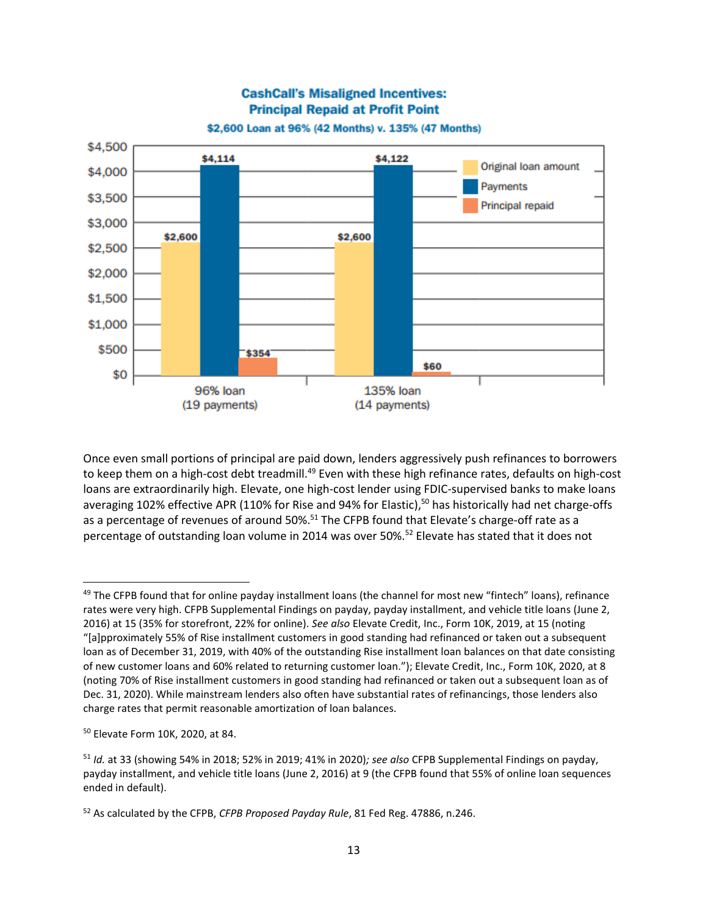

Once even small portions of principal are paid down, lenders aggressively push refinances to borrowers to keep them on a high-cost debt treadmill.<sup>49</sup> Even with these high refinance rates, defaults on high-cost loans are extraordinarily high. Elevate, one high-cost lender using FDIC-supervised banks to make loans averaging 102% effective APR (110% for Rise and 94% for Elastic),<sup>50</sup> has historically had net charge-offs as a percentage of revenues of around 50%.<sup>51</sup> The CFPB found that Elevate's charge-off rate as a percentage of outstanding loan volume in 2014 was over 50%.<sup>52</sup> Elevate has stated that it does not

<sup>&</sup>lt;sup>49</sup> The CFPB found that for online payday installment loans (the channel for most new "fintech" loans), refinance rates were very high. CFPB Supplemental Findings on payday, payday installment, and vehicle title loans (June 2, 2016) at 15 (35% for storefront, 22% for online). *See also* Elevate Credit, Inc., Form 10K, 2019, at 15 (noting "[a]pproximately 55% of Rise installment customers in good standing had refinanced or taken out a subsequent loan as of December 31, 2019, with 40% of the outstanding Rise installment loan balances on that date consisting of new customer loans and 60% related to returning customer loan."); Elevate Credit, Inc., Form 10K, 2020, at 8 (noting 70% of Rise installment customers in good standing had refinanced or taken out a subsequent loan as of Dec. 31, 2020). While mainstream lenders also often have substantial rates of refinancings, those lenders also charge rates that permit reasonable amortization of loan balances.

<sup>50</sup> Elevate Form 10K, 2020, at 84.

<sup>51</sup> *Id.* at 33 (showing 54% in 2018; 52% in 2019; 41% in 2020)*; see also* CFPB Supplemental Findings on payday, payday installment, and vehicle title loans (June 2, 2016) at 9 (the CFPB found that 55% of online loan sequences ended in default).

<sup>52</sup> As calculated by the CFPB, *CFPB Proposed Payday Rule*, 81 Fed Reg. 47886, n.246.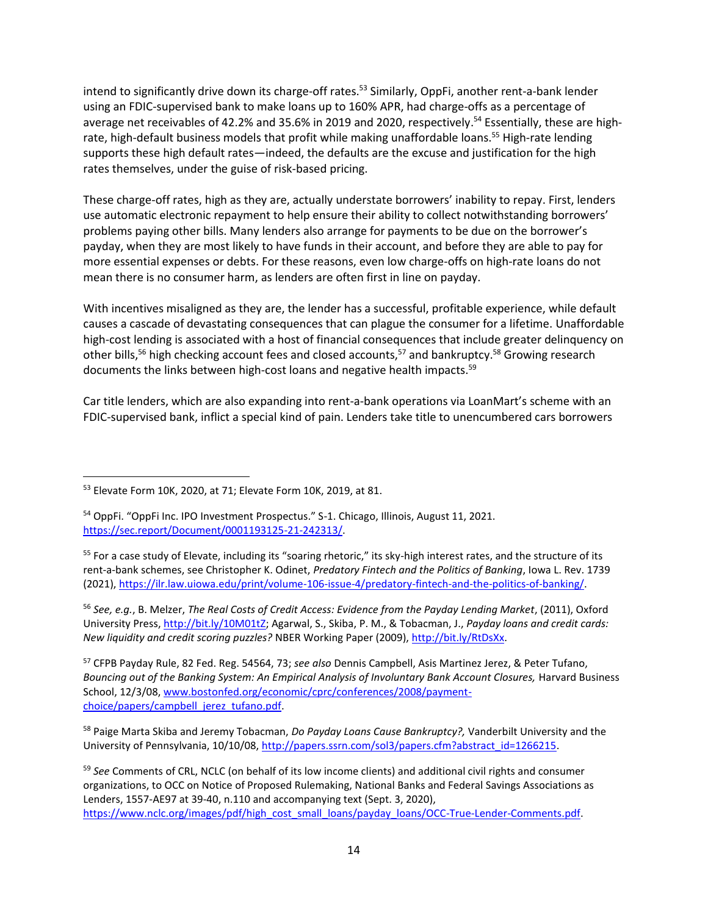intend to significantly drive down its charge-off rates.<sup>53</sup> Similarly, OppFi, another rent-a-bank lender using an FDIC-supervised bank to make loans up to 160% APR, had charge-offs as a percentage of average net receivables of 42.2% and 35.6% in 2019 and 2020, respectively.<sup>54</sup> Essentially, these are highrate, high-default business models that profit while making unaffordable loans.<sup>55</sup> High-rate lending supports these high default rates—indeed, the defaults are the excuse and justification for the high rates themselves, under the guise of risk-based pricing.

These charge-off rates, high as they are, actually understate borrowers' inability to repay. First, lenders use automatic electronic repayment to help ensure their ability to collect notwithstanding borrowers' problems paying other bills. Many lenders also arrange for payments to be due on the borrower's payday, when they are most likely to have funds in their account, and before they are able to pay for more essential expenses or debts. For these reasons, even low charge-offs on high-rate loans do not mean there is no consumer harm, as lenders are often first in line on payday.

With incentives misaligned as they are, the lender has a successful, profitable experience, while default causes a cascade of devastating consequences that can plague the consumer for a lifetime. Unaffordable high-cost lending is associated with a host of financial consequences that include greater delinquency on other bills,<sup>56</sup> high checking account fees and closed accounts,<sup>57</sup> and bankruptcy.<sup>58</sup> Growing research documents the links between high-cost loans and negative health impacts.<sup>59</sup>

Car title lenders, which are also expanding into rent-a-bank operations via LoanMart's scheme with an FDIC-supervised bank, inflict a special kind of pain. Lenders take title to unencumbered cars borrowers

<sup>56</sup> *See, e.g.*, B. Melzer, *The Real Costs of Credit Access: Evidence from the Payday Lending Market*, (2011), Oxford University Press[, http://bit.ly/10M01tZ;](http://bit.ly/10M01tZ) Agarwal, S., Skiba, P. M., & Tobacman, J., *Payday loans and credit cards: New liquidity and credit scoring puzzles?* NBER Working Paper (2009), [http://bit.ly/RtDsXx.](http://bit.ly/RtDsXx)

<sup>57</sup> CFPB Payday Rule, 82 Fed. Reg. 54564, 73; *see also* Dennis Campbell, Asis Martinez Jerez, & Peter Tufano, Bouncing out of the Banking System: An Empirical Analysis of Involuntary Bank Account Closures, Harvard Business School, 12/3/08[, www.bostonfed.org/economic/cprc/conferences/2008/payment](http://www.bostonfed.org/economic/cprc/conferences/2008/payment-choice/papers/campbell_jerez_tufano.pdf)[choice/papers/campbell\\_jerez\\_tufano.pdf.](http://www.bostonfed.org/economic/cprc/conferences/2008/payment-choice/papers/campbell_jerez_tufano.pdf)

<sup>58</sup> Paige Marta Skiba and Jeremy Tobacman, *Do Payday Loans Cause Bankruptcy?,* Vanderbilt University and the University of Pennsylvania, 10/10/08, http://papers.ssrn.com/sol3/papers.cfm?abstract\_id=1266215.

<sup>59</sup> *See* Comments of CRL, NCLC (on behalf of its low income clients) and additional civil rights and consumer organizations, to OCC on Notice of Proposed Rulemaking, National Banks and Federal Savings Associations as Lenders, 1557-AE97 at 39-40, n.110 and accompanying text (Sept. 3, 2020), [https://www.nclc.org/images/pdf/high\\_cost\\_small\\_loans/payday\\_loans/OCC-True-Lender-Comments.pdf.](https://www.nclc.org/images/pdf/high_cost_small_loans/payday_loans/OCC-True-Lender-Comments.pdf)

<sup>53</sup> Elevate Form 10K, 2020, at 71; Elevate Form 10K, 2019, at 81.

<sup>54</sup> OppFi. "OppFi Inc. IPO Investment Prospectus." S-1. Chicago, Illinois, August 11, 2021. [https://sec.report/Document/0001193125-21-242313/.](https://sec.report/Document/0001193125-21-242313/)

<sup>&</sup>lt;sup>55</sup> For a case study of Elevate, including its "soaring rhetoric," its sky-high interest rates, and the structure of its rent-a-bank schemes, see Christopher K. Odinet, *Predatory Fintech and the Politics of Banking*, Iowa L. Rev. 1739 (2021), [https://ilr.law.uiowa.edu/print/volume-106-issue-4/predatory-fintech-and-the-politics-of-banking/.](https://ilr.law.uiowa.edu/print/volume-106-issue-4/predatory-fintech-and-the-politics-of-banking/)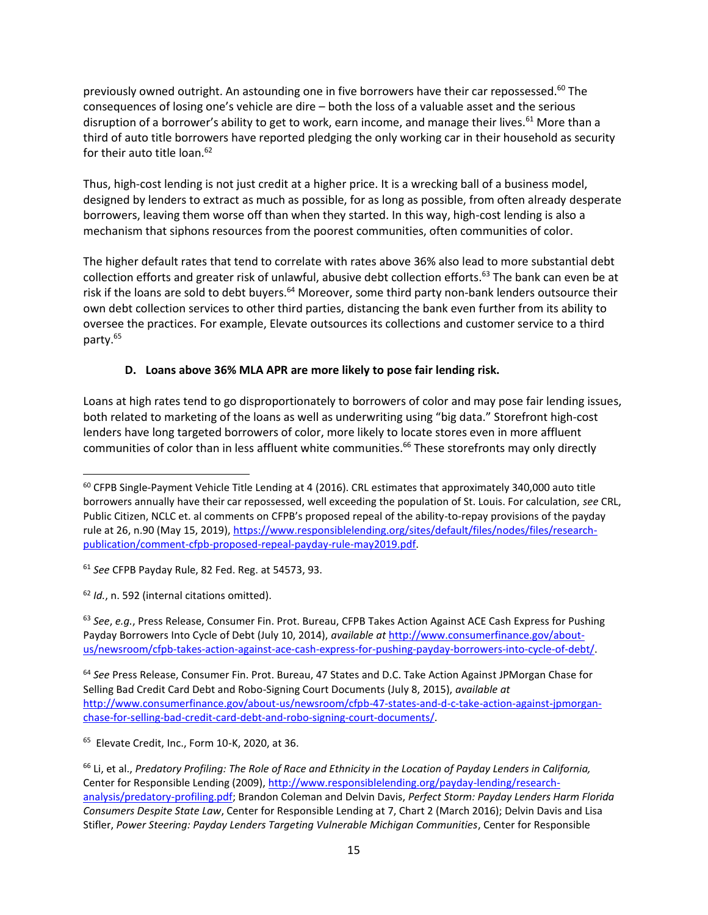previously owned outright. An astounding one in five borrowers have their car repossessed.<sup>60</sup> The consequences of losing one's vehicle are dire – both the loss of a valuable asset and the serious disruption of a borrower's ability to get to work, earn income, and manage their lives.<sup>61</sup> More than a third of auto title borrowers have reported pledging the only working car in their household as security for their auto title loan.<sup>62</sup>

Thus, high-cost lending is not just credit at a higher price. It is a wrecking ball of a business model, designed by lenders to extract as much as possible, for as long as possible, from often already desperate borrowers, leaving them worse off than when they started. In this way, high-cost lending is also a mechanism that siphons resources from the poorest communities, often communities of color.

The higher default rates that tend to correlate with rates above 36% also lead to more substantial debt collection efforts and greater risk of unlawful, abusive debt collection efforts.<sup>63</sup> The bank can even be at risk if the loans are sold to debt buyers.<sup>64</sup> Moreover, some third party non-bank lenders outsource their own debt collection services to other third parties, distancing the bank even further from its ability to oversee the practices. For example, Elevate outsources its collections and customer service to a third party.<sup>65</sup>

## **D. Loans above 36% MLA APR are more likely to pose fair lending risk.**

Loans at high rates tend to go disproportionately to borrowers of color and may pose fair lending issues, both related to marketing of the loans as well as underwriting using "big data." Storefront high-cost lenders have long targeted borrowers of color, more likely to locate stores even in more affluent communities of color than in less affluent white communities.<sup>66</sup> These storefronts may only directly

<sup>62</sup> *Id.*, n. 592 (internal citations omitted).

<sup>63</sup> *See*, *e.g.*, Press Release, Consumer Fin. Prot. Bureau, CFPB Takes Action Against ACE Cash Express for Pushing Payday Borrowers Into Cycle of Debt (July 10, 2014), *available at* [http://www.consumerfinance.gov/about](http://www.consumerfinance.gov/about-us/newsroom/cfpb-takes-action-against-ace-cash-express-for-pushing-payday-borrowers-into-cycle-of-debt/)[us/newsroom/cfpb-takes-action-against-ace-cash-express-for-pushing-payday-borrowers-into-cycle-of-debt/.](http://www.consumerfinance.gov/about-us/newsroom/cfpb-takes-action-against-ace-cash-express-for-pushing-payday-borrowers-into-cycle-of-debt/) 

<sup>64</sup> *See* Press Release, Consumer Fin. Prot. Bureau, 47 States and D.C. Take Action Against JPMorgan Chase for Selling Bad Credit Card Debt and Robo-Signing Court Documents (July 8, 2015), *available at* [http://www.consumerfinance.gov/about-us/newsroom/cfpb-47-states-and-d-c-take-action-against-jpmorgan](http://www.consumerfinance.gov/about-us/newsroom/cfpb-47-states-and-d-c-take-action-against-jpmorgan-chase-for-selling-bad-credit-card-debt-and-robo-signing-court-documents/)[chase-for-selling-bad-credit-card-debt-and-robo-signing-court-documents/.](http://www.consumerfinance.gov/about-us/newsroom/cfpb-47-states-and-d-c-take-action-against-jpmorgan-chase-for-selling-bad-credit-card-debt-and-robo-signing-court-documents/)

<sup>65</sup> Elevate Credit, Inc., Form 10-K, 2020, at 36.

<sup>&</sup>lt;sup>60</sup> CFPB Single-Payment Vehicle Title Lending at 4 (2016). CRL estimates that approximately 340,000 auto title borrowers annually have their car repossessed, well exceeding the population of St. Louis. For calculation, *see* CRL, Public Citizen, NCLC et. al comments on CFPB's proposed repeal of the ability-to-repay provisions of the payday rule at 26, n.90 (May 15, 2019), [https://www.responsiblelending.org/sites/default/files/nodes/files/research](https://www.responsiblelending.org/sites/default/files/nodes/files/research-publication/comment-cfpb-proposed-repeal-payday-rule-may2019.pdf)[publication/comment-cfpb-proposed-repeal-payday-rule-may2019.pdf.](https://www.responsiblelending.org/sites/default/files/nodes/files/research-publication/comment-cfpb-proposed-repeal-payday-rule-may2019.pdf)

<sup>61</sup> *See* CFPB Payday Rule, 82 Fed. Reg. at 54573, 93.

<sup>66</sup> Li, et al., *Predatory Profiling: The Role of Race and Ethnicity in the Location of Payday Lenders in California,*  Center for Responsible Lending (2009), [http://www.responsiblelending.org/payday-lending/research](http://www.responsiblelending.org/payday-lending/research-analysis/predatory-profiling.pdf)[analysis/predatory-profiling.pdf;](http://www.responsiblelending.org/payday-lending/research-analysis/predatory-profiling.pdf) Brandon Coleman and Delvin Davis, *Perfect Storm: Payday Lenders Harm Florida Consumers Despite State Law*, Center for Responsible Lending at 7, Chart 2 (March 2016); Delvin Davis and Lisa Stifler, *Power Steering: Payday Lenders Targeting Vulnerable Michigan Communities*, Center for Responsible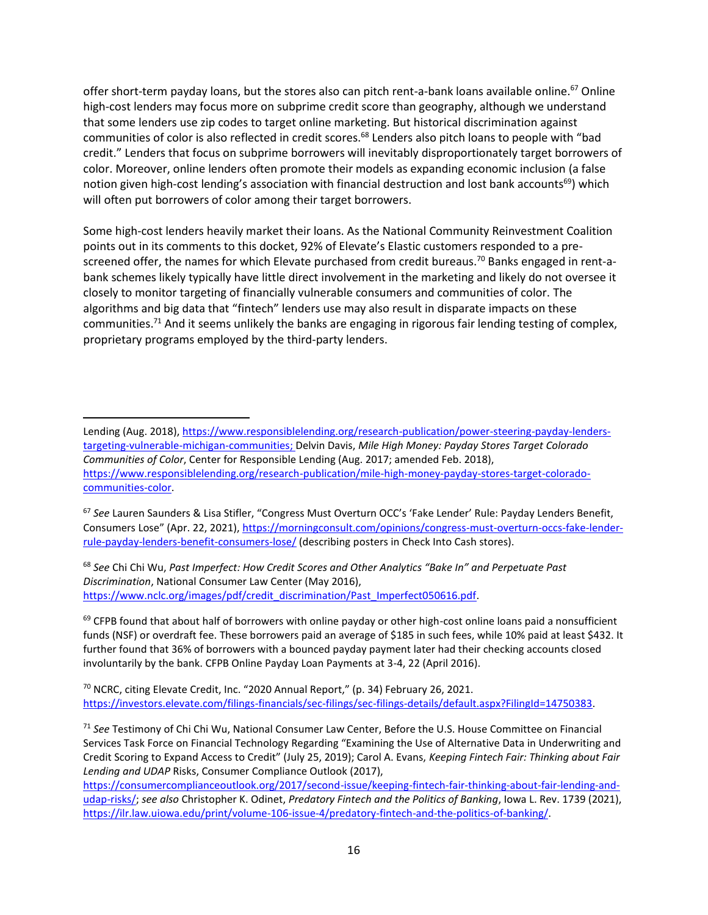offer short-term payday loans, but the stores also can pitch rent-a-bank loans available online.<sup>67</sup> Online high-cost lenders may focus more on subprime credit score than geography, although we understand that some lenders use zip codes to target online marketing. But historical discrimination against communities of color is also reflected in credit scores.<sup>68</sup> Lenders also pitch loans to people with "bad credit." Lenders that focus on subprime borrowers will inevitably disproportionately target borrowers of color. Moreover, online lenders often promote their models as expanding economic inclusion (a false notion given high-cost lending's association with financial destruction and lost bank accounts<sup>69</sup>) which will often put borrowers of color among their target borrowers.

Some high-cost lenders heavily market their loans. As the National Community Reinvestment Coalition points out in its comments to this docket, 92% of Elevate's Elastic customers responded to a prescreened offer, the names for which Elevate purchased from credit bureaus.<sup>70</sup> Banks engaged in rent-abank schemes likely typically have little direct involvement in the marketing and likely do not oversee it closely to monitor targeting of financially vulnerable consumers and communities of color. The algorithms and big data that "fintech" lenders use may also result in disparate impacts on these communities.<sup>71</sup> And it seems unlikely the banks are engaging in rigorous fair lending testing of complex, proprietary programs employed by the third-party lenders.

<sup>67</sup> *See* Lauren Saunders & Lisa Stifler, "Congress Must Overturn OCC's 'Fake Lender' Rule: Payday Lenders Benefit, Consumers Lose" (Apr. 22, 2021), [https://morningconsult.com/opinions/congress-must-overturn-occs-fake-lender](https://morningconsult.com/opinions/congress-must-overturn-occs-fake-lender-rule-payday-lenders-benefit-consumers-lose/)[rule-payday-lenders-benefit-consumers-lose/](https://morningconsult.com/opinions/congress-must-overturn-occs-fake-lender-rule-payday-lenders-benefit-consumers-lose/) (describing posters in Check Into Cash stores).

<sup>68</sup> *See* Chi Chi Wu, *Past Imperfect: How Credit Scores and Other Analytics "Bake In" and Perpetuate Past Discrimination*, National Consumer Law Center (May 2016), [https://www.nclc.org/images/pdf/credit\\_discrimination/Past\\_Imperfect050616.pdf.](https://www.nclc.org/images/pdf/credit_discrimination/Past_Imperfect050616.pdf)

69 CFPB found that about half of borrowers with online payday or other high-cost online loans paid a nonsufficient funds (NSF) or overdraft fee. These borrowers paid an average of \$185 in such fees, while 10% paid at least \$432. It further found that 36% of borrowers with a bounced payday payment later had their checking accounts closed involuntarily by the bank. CFPB Online Payday Loan Payments at 3-4, 22 (April 2016).

<sup>70</sup> NCRC, citing Elevate Credit, Inc. "2020 Annual Report," (p. 34) February 26, 2021. [https://investors.elevate.com/filings-financials/sec-filings/sec-filings-details/default.aspx?FilingId=14750383.](https://investors.elevate.com/filings-financials/sec-filings/sec-filings-details/default.aspx?FilingId=14750383)

[https://consumercomplianceoutlook.org/2017/second-issue/keeping-fintech-fair-thinking-about-fair-lending-and](https://consumercomplianceoutlook.org/2017/second-issue/keeping-fintech-fair-thinking-about-fair-lending-and-udap-risks/)[udap-risks/;](https://consumercomplianceoutlook.org/2017/second-issue/keeping-fintech-fair-thinking-about-fair-lending-and-udap-risks/) *see also* Christopher K. Odinet, *Predatory Fintech and the Politics of Banking*, Iowa L. Rev. 1739 (2021), [https://ilr.law.uiowa.edu/print/volume-106-issue-4/predatory-fintech-and-the-politics-of-banking/.](https://ilr.law.uiowa.edu/print/volume-106-issue-4/predatory-fintech-and-the-politics-of-banking/)

Lending (Aug. 2018), [https://www.responsiblelending.org/research-publication/power-steering-payday-lenders](https://www.responsiblelending.org/research-publication/power-steering-payday-lenders-targeting-vulnerable-michigan-communities)[targeting-vulnerable-michigan-communities;](https://www.responsiblelending.org/research-publication/power-steering-payday-lenders-targeting-vulnerable-michigan-communities) Delvin Davis, *Mile High Money: Payday Stores Target Colorado Communities of Color*, Center for Responsible Lending (Aug. 2017; amended Feb. 2018), [https://www.responsiblelending.org/research-publication/mile-high-money-payday-stores-target-colorado](https://www.responsiblelending.org/research-publication/mile-high-money-payday-stores-target-colorado-communities-color)[communities-color.](https://www.responsiblelending.org/research-publication/mile-high-money-payday-stores-target-colorado-communities-color)

<sup>71</sup> *See* Testimony of Chi Chi Wu, National Consumer Law Center, Before the U.S. House Committee on Financial Services Task Force on Financial Technology Regarding "Examining the Use of Alternative Data in Underwriting and Credit Scoring to Expand Access to Credit" (July 25, 2019); Carol A. Evans, *Keeping Fintech Fair: Thinking about Fair Lending and UDAP* Risks, Consumer Compliance Outlook (2017),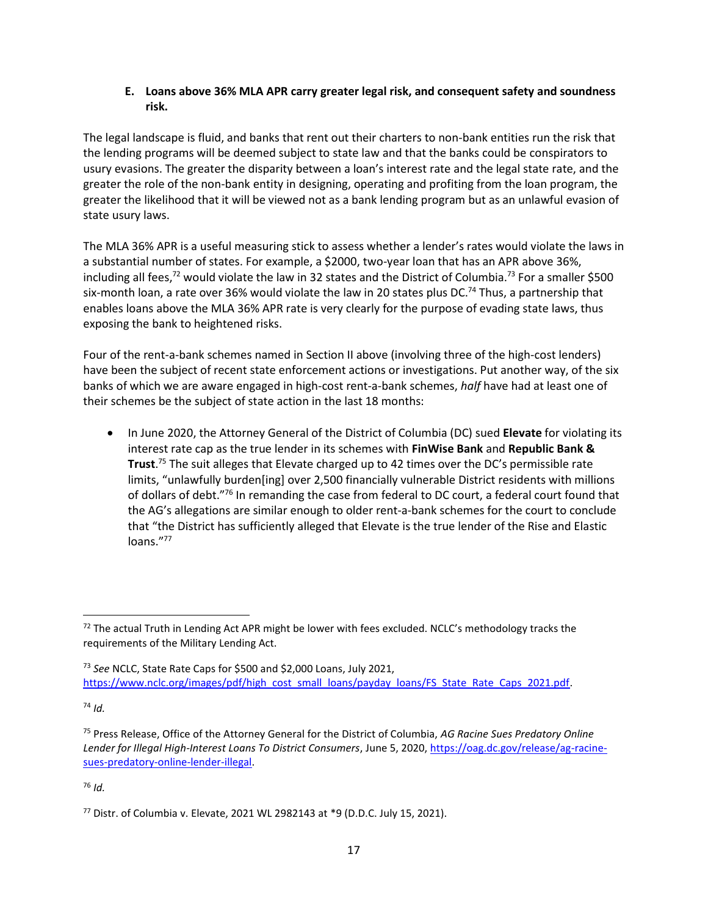#### **E. Loans above 36% MLA APR carry greater legal risk, and consequent safety and soundness risk.**

The legal landscape is fluid, and banks that rent out their charters to non-bank entities run the risk that the lending programs will be deemed subject to state law and that the banks could be conspirators to usury evasions. The greater the disparity between a loan's interest rate and the legal state rate, and the greater the role of the non-bank entity in designing, operating and profiting from the loan program, the greater the likelihood that it will be viewed not as a bank lending program but as an unlawful evasion of state usury laws.

The MLA 36% APR is a useful measuring stick to assess whether a lender's rates would violate the laws in a substantial number of states. For example, a \$2000, two-year loan that has an APR above 36%, including all fees,<sup>72</sup> would violate the law in 32 states and the District of Columbia.<sup>73</sup> For a smaller \$500 six-month loan, a rate over 36% would violate the law in 20 states plus DC.<sup>74</sup> Thus, a partnership that enables loans above the MLA 36% APR rate is very clearly for the purpose of evading state laws, thus exposing the bank to heightened risks.

Four of the rent-a-bank schemes named in Section II above (involving three of the high-cost lenders) have been the subject of recent state enforcement actions or investigations. Put another way, of the six banks of which we are aware engaged in high-cost rent-a-bank schemes, *half* have had at least one of their schemes be the subject of state action in the last 18 months:

• In June 2020, the Attorney General of the District of Columbia (DC) sued **Elevate** for violating its interest rate cap as the true lender in its schemes with **FinWise Bank** and **Republic Bank & Trust**. <sup>75</sup> The suit alleges that Elevate charged up to 42 times over the DC's permissible rate limits, "unlawfully burden[ing] over 2,500 financially vulnerable District residents with millions of dollars of debt."76 In remanding the case from federal to DC court, a federal court found that the AG's allegations are similar enough to older rent-a-bank schemes for the court to conclude that "the District has sufficiently alleged that Elevate is the true lender of the Rise and Elastic loans."77

<sup>74</sup> *Id.*

<sup>72</sup> The actual Truth in Lending Act APR might be lower with fees excluded. NCLC's methodology tracks the requirements of the Military Lending Act.

<sup>73</sup> *See* NCLC, State Rate Caps for \$500 and \$2,000 Loans, July 2021, [https://www.nclc.org/images/pdf/high\\_cost\\_small\\_loans/payday\\_loans/FS\\_State\\_Rate\\_Caps\\_2021.pdf.](https://www.nclc.org/images/pdf/high_cost_small_loans/payday_loans/FS_State_Rate_Caps_2021.pdf)

<sup>75</sup> Press Release, Office of the Attorney General for the District of Columbia, *AG Racine Sues Predatory Online Lender for Illegal High-Interest Loans To District Consumers*, June 5, 2020, [https://oag.dc.gov/release/ag-racine](https://oag.dc.gov/release/ag-racine-sues-predatory-online-lender-illegal)[sues-predatory-online-lender-illegal.](https://oag.dc.gov/release/ag-racine-sues-predatory-online-lender-illegal)

<sup>76</sup> *Id.*

<sup>77</sup> Distr. of Columbia v. Elevate, 2021 WL 2982143 at \*9 (D.D.C. July 15, 2021).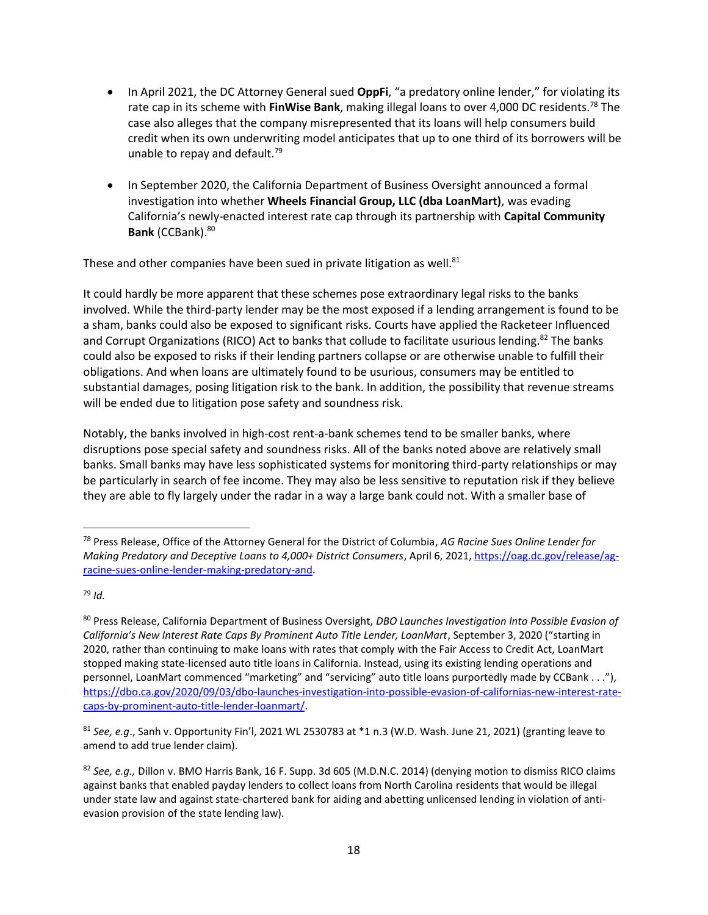- In April 2021, the DC Attorney General sued **OppFi**, "a predatory online lender," for violating its rate cap in its scheme with **FinWise Bank**, making illegal loans to over 4,000 DC residents.<sup>78</sup> The case also alleges that the company misrepresented that its loans will help consumers build credit when its own underwriting model anticipates that up to one third of its borrowers will be unable to repay and default.<sup>79</sup>
- In September 2020, the California Department of Business Oversight announced a formal investigation into whether **Wheels Financial Group, LLC (dba LoanMart)**, was evading California's newly-enacted interest rate cap through its partnership with **Capital Community Bank** (CCBank).<sup>80</sup>

These and other companies have been sued in private litigation as well.<sup>81</sup>

It could hardly be more apparent that these schemes pose extraordinary legal risks to the banks involved. While the third-party lender may be the most exposed if a lending arrangement is found to be a sham, banks could also be exposed to significant risks. Courts have applied the Racketeer Influenced and Corrupt Organizations (RICO) Act to banks that collude to facilitate usurious lending.<sup>82</sup> The banks could also be exposed to risks if their lending partners collapse or are otherwise unable to fulfill their obligations. And when loans are ultimately found to be usurious, consumers may be entitled to substantial damages, posing litigation risk to the bank. In addition, the possibility that revenue streams will be ended due to litigation pose safety and soundness risk.

Notably, the banks involved in high-cost rent-a-bank schemes tend to be smaller banks, where disruptions pose special safety and soundness risks. All of the banks noted above are relatively small banks. Small banks may have less sophisticated systems for monitoring third-party relationships or may be particularly in search of fee income. They may also be less sensitive to reputation risk if they believe they are able to fly largely under the radar in a way a large bank could not. With a smaller base of

<sup>78</sup> Press Release, Office of the Attorney General for the District of Columbia, *AG Racine Sues Online Lender for Making Predatory and Deceptive Loans to 4,000+ District Consumers*, April 6, 2021[, https://oag.dc.gov/release/ag](https://oag.dc.gov/release/ag-racine-sues-online-lender-making-predatory-and)[racine-sues-online-lender-making-predatory-and.](https://oag.dc.gov/release/ag-racine-sues-online-lender-making-predatory-and) 

<sup>79</sup> *Id.*

<sup>80</sup> Press Release, California Department of Business Oversight, *DBO Launches Investigation Into Possible Evasion of California's New Interest Rate Caps By Prominent Auto Title Lender, LoanMart*, September 3, 2020 ("starting in 2020, rather than continuing to make loans with rates that comply with the Fair Access to Credit Act, LoanMart stopped making state-licensed auto title loans in California. Instead, using its existing lending operations and personnel, LoanMart commenced "marketing" and "servicing" auto title loans purportedly made by CCBank . . ."), [https://dbo.ca.gov/2020/09/03/dbo-launches-investigation-into-possible-evasion-of-californias-new-interest-rate](https://dbo.ca.gov/2020/09/03/dbo-launches-investigation-into-possible-evasion-of-californias-new-interest-rate-caps-by-prominent-auto-title-lender-loanmart/)[caps-by-prominent-auto-title-lender-loanmart/.](https://dbo.ca.gov/2020/09/03/dbo-launches-investigation-into-possible-evasion-of-californias-new-interest-rate-caps-by-prominent-auto-title-lender-loanmart/)

<sup>81</sup> *See, e.g*., Sanh v. Opportunity Fin'l, 2021 WL 2530783 at \*1 n.3 (W.D. Wash. June 21, 2021) (granting leave to amend to add true lender claim).

<sup>82</sup> *See, e.g.,* Dillon v. BMO Harris Bank, 16 F. Supp. 3d 605 (M.D.N.C. 2014) (denying motion to dismiss RICO claims against banks that enabled payday lenders to collect loans from North Carolina residents that would be illegal under state law and against state-chartered bank for aiding and abetting unlicensed lending in violation of antievasion provision of the state lending law).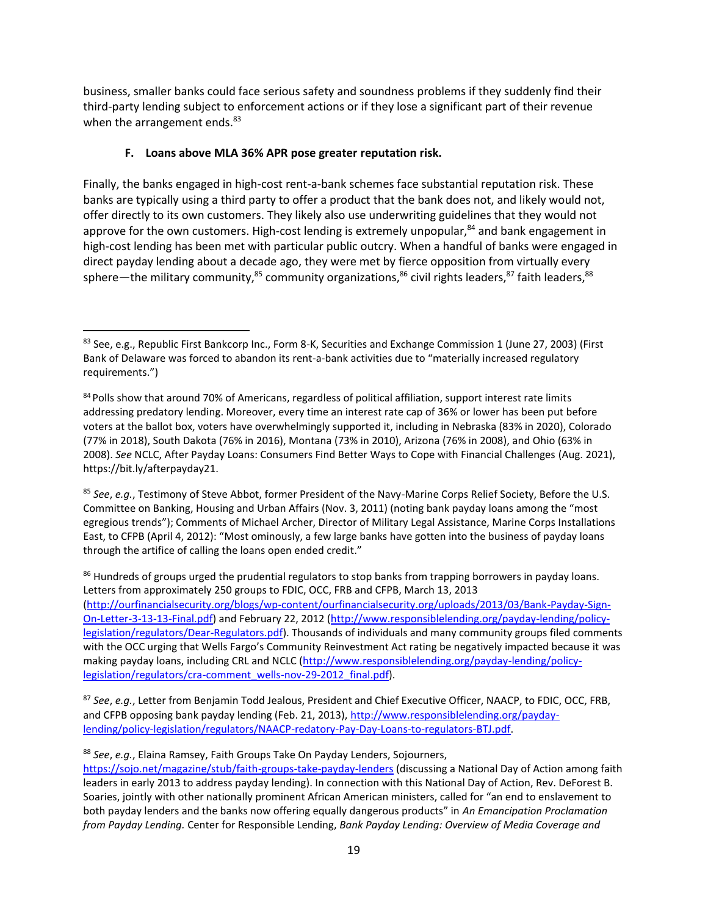business, smaller banks could face serious safety and soundness problems if they suddenly find their third-party lending subject to enforcement actions or if they lose a significant part of their revenue when the arrangement ends.<sup>83</sup>

### **F. Loans above MLA 36% APR pose greater reputation risk.**

Finally, the banks engaged in high-cost rent-a-bank schemes face substantial reputation risk. These banks are typically using a third party to offer a product that the bank does not, and likely would not, offer directly to its own customers. They likely also use underwriting guidelines that they would not approve for the own customers. High-cost lending is extremely unpopular, $84$  and bank engagement in high-cost lending has been met with particular public outcry. When a handful of banks were engaged in direct payday lending about a decade ago, they were met by fierce opposition from virtually every sphere—the military community,<sup>85</sup> community organizations,<sup>86</sup> civil rights leaders,<sup>87</sup> faith leaders,<sup>88</sup>

<sup>86</sup> Hundreds of groups urged the prudential regulators to stop banks from trapping borrowers in payday loans. Letters from approximately 250 groups to FDIC, OCC, FRB and CFPB, March 13, 2013 [\(http://ourfinancialsecurity.org/blogs/wp-content/ourfinancialsecurity.org/uploads/2013/03/Bank-Payday-Sign-](http://ourfinancialsecurity.org/blogs/wp-content/ourfinancialsecurity.org/uploads/2013/03/Bank-Payday-Sign-On-Letter-3-13-13-Final.pdf)[On-Letter-3-13-13-Final.pdf\)](http://ourfinancialsecurity.org/blogs/wp-content/ourfinancialsecurity.org/uploads/2013/03/Bank-Payday-Sign-On-Letter-3-13-13-Final.pdf) and February 22, 2012 [\(http://www.responsiblelending.org/payday-lending/policy](http://www.responsiblelending.org/payday-lending/policy-legislation/regulators/Dear-Regulators.pdf)[legislation/regulators/Dear-Regulators.pdf\)](http://www.responsiblelending.org/payday-lending/policy-legislation/regulators/Dear-Regulators.pdf). Thousands of individuals and many community groups filed comments with the OCC urging that Wells Fargo's Community Reinvestment Act rating be negatively impacted because it was making payday loans, including CRL and NCLC [\(http://www.responsiblelending.org/payday-lending/policy](http://www.responsiblelending.org/payday-lending/policy-legislation/regulators/cra-comment_wells-nov-29-2012_final.pdf)[legislation/regulators/cra-comment\\_wells-nov-29-2012\\_final.pdf\)](http://www.responsiblelending.org/payday-lending/policy-legislation/regulators/cra-comment_wells-nov-29-2012_final.pdf).

<sup>87</sup> *See*, *e.g.*, Letter from Benjamin Todd Jealous, President and Chief Executive Officer, NAACP, to FDIC, OCC, FRB, and CFPB opposing bank payday lending (Feb. 21, 2013), [http://www.responsiblelending.org/payday](http://www.responsiblelending.org/payday-lending/policy-legislation/regulators/NAACP-redatory-Pay-Day-Loans-to-regulators-BTJ.pdf)[lending/policy-legislation/regulators/NAACP-redatory-Pay-Day-Loans-to-regulators-BTJ.pdf.](http://www.responsiblelending.org/payday-lending/policy-legislation/regulators/NAACP-redatory-Pay-Day-Loans-to-regulators-BTJ.pdf)

<sup>88</sup> *See*, *e.g.*, Elaina Ramsey, Faith Groups Take On Payday Lenders, Sojourners,

<https://sojo.net/magazine/stub/faith-groups-take-payday-lenders> (discussing a National Day of Action among faith leaders in early 2013 to address payday lending). In connection with this National Day of Action, Rev. DeForest B. Soaries, jointly with other nationally prominent African American ministers, called for "an end to enslavement to both payday lenders and the banks now offering equally dangerous products" in *An Emancipation Proclamation from Payday Lending.* Center for Responsible Lending, *Bank Payday Lending: Overview of Media Coverage and* 

<sup>83</sup> See, e.g., Republic First Bankcorp Inc., Form 8-K, Securities and Exchange Commission 1 (June 27, 2003) (First Bank of Delaware was forced to abandon its rent-a-bank activities due to "materially increased regulatory requirements.")

<sup>84</sup> Polls show that around 70% of Americans, regardless of political affiliation, support interest rate limits addressing predatory lending. Moreover, every time an interest rate cap of 36% or lower has been put before voters at the ballot box, voters have overwhelmingly supported it, including in Nebraska (83% in 2020), Colorado (77% in 2018), South Dakota (76% in 2016), Montana (73% in 2010), Arizona (76% in 2008), and Ohio (63% in 2008). *See* NCLC, After Payday Loans: Consumers Find Better Ways to Cope with Financial Challenges (Aug. 2021), https://bit.ly/afterpayday21.

<sup>85</sup> *See*, *e.g.*, Testimony of Steve Abbot, former President of the Navy-Marine Corps Relief Society, Before the U.S. Committee on Banking, Housing and Urban Affairs (Nov. 3, 2011) (noting bank payday loans among the "most egregious trends"); Comments of Michael Archer, Director of Military Legal Assistance, Marine Corps Installations East, to CFPB (April 4, 2012): "Most ominously, a few large banks have gotten into the business of payday loans through the artifice of calling the loans open ended credit."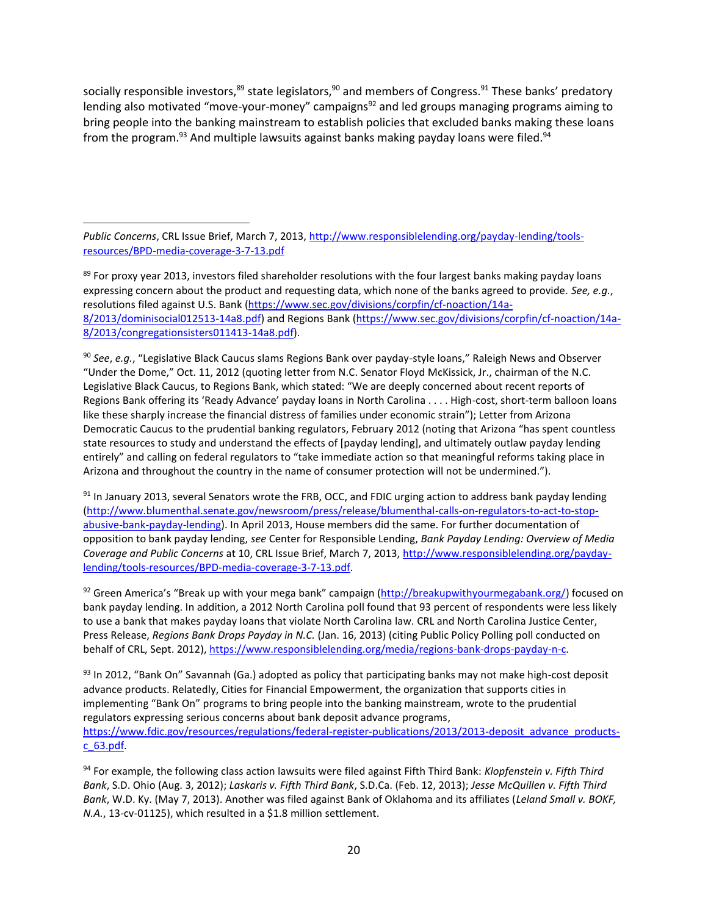socially responsible investors,<sup>89</sup> state legislators,<sup>90</sup> and members of Congress.<sup>91</sup> These banks' predatory lending also motivated "move-your-money" campaigns<sup>92</sup> and led groups managing programs aiming to bring people into the banking mainstream to establish policies that excluded banks making these loans from the program. $93$  And multiple lawsuits against banks making payday loans were filed. $94$ 

*Public Concerns*, CRL Issue Brief, March 7, 2013[, http://www.responsiblelending.org/payday-lending/tools](http://www.responsiblelending.org/payday-lending/tools-resources/BPD-media-coverage-3-7-13.pdf)[resources/BPD-media-coverage-3-7-13.pdf](http://www.responsiblelending.org/payday-lending/tools-resources/BPD-media-coverage-3-7-13.pdf)

<sup>89</sup> For proxy year 2013, investors filed shareholder resolutions with the four largest banks making payday loans expressing concern about the product and requesting data, which none of the banks agreed to provide. *See, e.g.*, resolutions filed against U.S. Bank [\(https://www.sec.gov/divisions/corpfin/cf-noaction/14a-](https://www.sec.gov/divisions/corpfin/cf-noaction/14a-8/2013/dominisocial012513-14a8.pdf)[8/2013/dominisocial012513-14a8.pdf\)](https://www.sec.gov/divisions/corpfin/cf-noaction/14a-8/2013/dominisocial012513-14a8.pdf) and Regions Bank [\(https://www.sec.gov/divisions/corpfin/cf-noaction/14a-](https://www.sec.gov/divisions/corpfin/cf-noaction/14a-8/2013/congregationsisters011413-14a8.pdf)[8/2013/congregationsisters011413-14a8.pdf\)](https://www.sec.gov/divisions/corpfin/cf-noaction/14a-8/2013/congregationsisters011413-14a8.pdf).

<sup>90</sup> *See*, *e.g.*, "Legislative Black Caucus slams Regions Bank over payday-style loans," Raleigh News and Observer "Under the Dome," Oct. 11, 2012 (quoting letter from N.C. Senator Floyd McKissick, Jr., chairman of the N.C. Legislative Black Caucus, to Regions Bank, which stated: "We are deeply concerned about recent reports of Regions Bank offering its 'Ready Advance' payday loans in North Carolina . . . . High-cost, short-term balloon loans like these sharply increase the financial distress of families under economic strain"); Letter from Arizona Democratic Caucus to the prudential banking regulators, February 2012 (noting that Arizona "has spent countless state resources to study and understand the effects of [payday lending], and ultimately outlaw payday lending entirely" and calling on federal regulators to "take immediate action so that meaningful reforms taking place in Arizona and throughout the country in the name of consumer protection will not be undermined.").

91 In January 2013, several Senators wrote the FRB, OCC, and FDIC urging action to address bank payday lending [\(http://www.blumenthal.senate.gov/newsroom/press/release/blumenthal-calls-on-regulators-to-act-to-stop](http://www.blumenthal.senate.gov/newsroom/press/release/blumenthal-calls-on-regulators-to-act-to-stop-abusive-bank-payday-lending)[abusive-bank-payday-lending\)](http://www.blumenthal.senate.gov/newsroom/press/release/blumenthal-calls-on-regulators-to-act-to-stop-abusive-bank-payday-lending). In April 2013, House members did the same. For further documentation of opposition to bank payday lending, *see* Center for Responsible Lending, *Bank Payday Lending: Overview of Media Coverage and Public Concerns* at 10, CRL Issue Brief, March 7, 2013[, http://www.responsiblelending.org/payday](http://www.responsiblelending.org/payday-lending/tools-resources/BPD-media-coverage-3-7-13.pdf)[lending/tools-resources/BPD-media-coverage-3-7-13.pdf.](http://www.responsiblelending.org/payday-lending/tools-resources/BPD-media-coverage-3-7-13.pdf)

92 Green America's "Break up with your mega bank" campaign [\(http://breakupwithyourmegabank.org/\)](http://breakupwithyourmegabank.org/) focused on bank payday lending. In addition, a 2012 North Carolina poll found that 93 percent of respondents were less likely to use a bank that makes payday loans that violate North Carolina law. CRL and North Carolina Justice Center, Press Release, *Regions Bank Drops Payday in N.C.* (Jan. 16, 2013) (citing Public Policy Polling poll conducted on behalf of CRL, Sept. 2012), [https://www.responsiblelending.org/media/regions-bank-drops-payday-n-c.](https://www.responsiblelending.org/media/regions-bank-drops-payday-n-c)

 $93$  In 2012, "Bank On" Savannah (Ga.) adopted as policy that participating banks may not make high-cost deposit advance products. Relatedly, Cities for Financial Empowerment, the organization that supports cities in implementing "Bank On" programs to bring people into the banking mainstream, wrote to the prudential regulators expressing serious concerns about bank deposit advance programs, [https://www.fdic.gov/resources/regulations/federal-register-publications/2013/2013-deposit\\_advance\\_products](https://www.fdic.gov/resources/regulations/federal-register-publications/2013/2013-deposit_advance_products-c_63.pdf)[c\\_63.pdf.](https://www.fdic.gov/resources/regulations/federal-register-publications/2013/2013-deposit_advance_products-c_63.pdf) 

<sup>94</sup> For example, the following class action lawsuits were filed against Fifth Third Bank: *Klopfenstein v. Fifth Third Bank*, S.D. Ohio (Aug. 3, 2012); *Laskaris v. Fifth Third Bank*, S.D.Ca. (Feb. 12, 2013); *Jesse McQuillen v. Fifth Third Bank*, W.D. Ky. (May 7, 2013). Another was filed against Bank of Oklahoma and its affiliates (*Leland Small v. BOKF, N.A.*, 13-cv-01125), which resulted in a \$1.8 million settlement.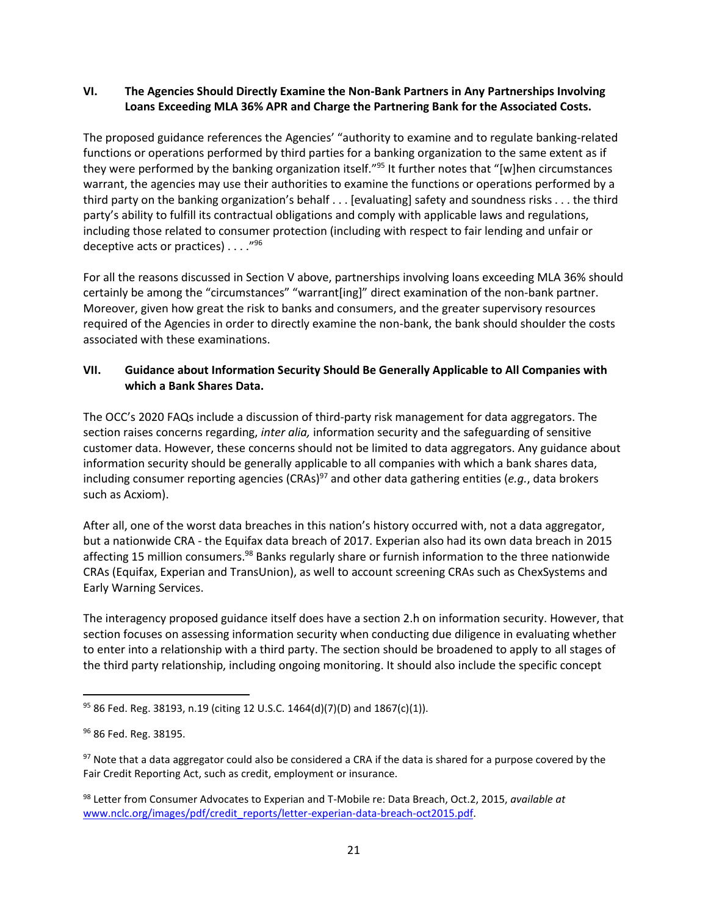### **VI. The Agencies Should Directly Examine the Non-Bank Partners in Any Partnerships Involving Loans Exceeding MLA 36% APR and Charge the Partnering Bank for the Associated Costs.**

The proposed guidance references the Agencies' "authority to examine and to regulate banking-related functions or operations performed by third parties for a banking organization to the same extent as if they were performed by the banking organization itself."<sup>95</sup> It further notes that "[w]hen circumstances warrant, the agencies may use their authorities to examine the functions or operations performed by a third party on the banking organization's behalf . . . [evaluating] safety and soundness risks . . . the third party's ability to fulfill its contractual obligations and comply with applicable laws and regulations, including those related to consumer protection (including with respect to fair lending and unfair or deceptive acts or practices)  $\ldots$ ."<sup>96</sup>

For all the reasons discussed in Section V above, partnerships involving loans exceeding MLA 36% should certainly be among the "circumstances" "warrant[ing]" direct examination of the non-bank partner. Moreover, given how great the risk to banks and consumers, and the greater supervisory resources required of the Agencies in order to directly examine the non-bank, the bank should shoulder the costs associated with these examinations.

### **VII. Guidance about Information Security Should Be Generally Applicable to All Companies with which a Bank Shares Data.**

The OCC's 2020 FAQs include a discussion of third-party risk management for data aggregators. The section raises concerns regarding, *inter alia,* information security and the safeguarding of sensitive customer data. However, these concerns should not be limited to data aggregators. Any guidance about information security should be generally applicable to all companies with which a bank shares data, including consumer reporting agencies (CRAs)<sup>97</sup> and other data gathering entities (*e.g.*, data brokers such as Acxiom).

After all, one of the worst data breaches in this nation's history occurred with, not a data aggregator, but a nationwide CRA - the Equifax data breach of 2017. Experian also had its own data breach in 2015 affecting 15 million consumers.<sup>98</sup> Banks regularly share or furnish information to the three nationwide CRAs (Equifax, Experian and TransUnion), as well to account screening CRAs such as ChexSystems and Early Warning Services.

The interagency proposed guidance itself does have a section 2.h on information security. However, that section focuses on assessing information security when conducting due diligence in evaluating whether to enter into a relationship with a third party. The section should be broadened to apply to all stages of the third party relationship, including ongoing monitoring. It should also include the specific concept

<sup>95</sup> 86 Fed. Reg. 38193, n.19 (citing 12 U.S.C. 1464(d)(7)(D) and 1867(c)(1)).

<sup>96</sup> 86 Fed. Reg. 38195.

 $97$  Note that a data aggregator could also be considered a CRA if the data is shared for a purpose covered by the Fair Credit Reporting Act, such as credit, employment or insurance.

<sup>98</sup> Letter from Consumer Advocates to Experian and T-Mobile re: Data Breach, Oct.2, 2015, *available at* www.nclc.org/images/pdf/credit\_reports/letter-experian-data-breach-oct2015.pdf.